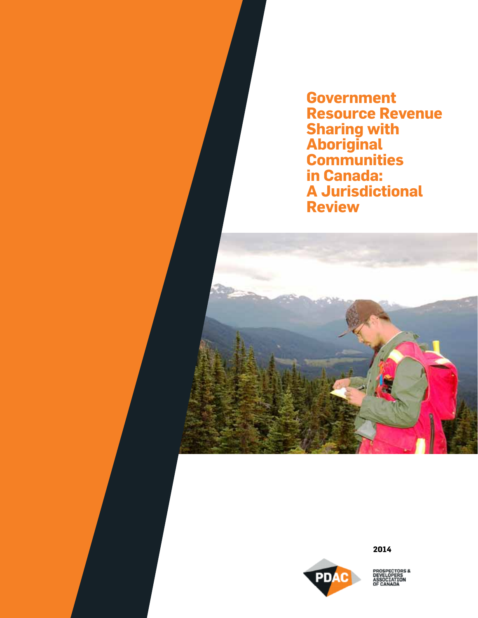**Government Resource Revenue Sharing with Aboriginal Communities in Canada: A Jurisdictional Review**



**2014**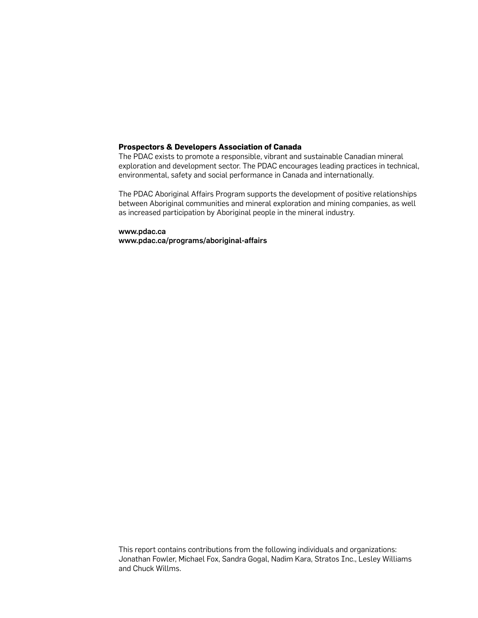## **Prospectors & Developers Association of Canada**

The PDAC exists to promote a responsible, vibrant and sustainable Canadian mineral exploration and development sector. The PDAC encourages leading practices in technical, environmental, safety and social performance in Canada and internationally.

The PDAC Aboriginal Affairs Program supports the development of positive relationships between Aboriginal communities and mineral exploration and mining companies, as well as increased participation by Aboriginal people in the mineral industry.

www.pdac.ca www.pdac.ca/programs/aboriginal-affairs

This report contains contributions from the following individuals and organizations: Jonathan Fowler, Michael Fox, Sandra Gogal, Nadim Kara, Stratos Inc., Lesley Williams and Chuck Willms.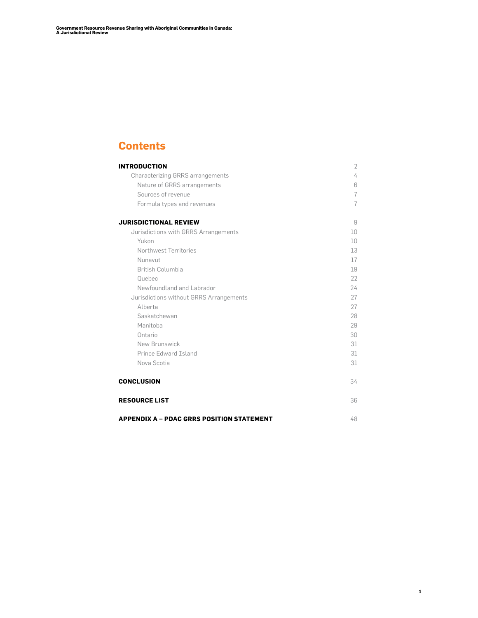# **Contents**

| <b>INTRODUCTION</b>                              | $\overline{2}$ |
|--------------------------------------------------|----------------|
| Characterizing GRRS arrangements                 | 4              |
| Nature of GRRS arrangements                      | 6              |
| Sources of revenue                               | $\overline{7}$ |
| Formula types and revenues                       | $\overline{7}$ |
| <b>JURISDICTIONAL REVIEW</b>                     | 9              |
| Jurisdictions with GRRS Arrangements             | 10             |
| Yukon                                            | 10             |
| Northwest Territories                            | 13             |
| Nunavut                                          | 17             |
| British Columbia                                 | 19             |
| <b>Ouebec</b>                                    | 22             |
| Newfoundland and Labrador                        | 74             |
| Jurisdictions without GRRS Arrangements          | 27             |
| Alberta                                          | 27             |
| Saskatchewan                                     | 28             |
| Manitoba                                         | 29             |
| Ontario                                          | 30             |
| New Brunswick                                    | 31             |
| Prince Edward Island                             | 31             |
| Nova Scotia                                      | 31             |
| <b>CONCLUSION</b>                                | 34             |
| <b>RESOURCE LIST</b>                             | 36             |
| <b>APPENDIX A - PDAC GRRS POSITION STATEMENT</b> | 48             |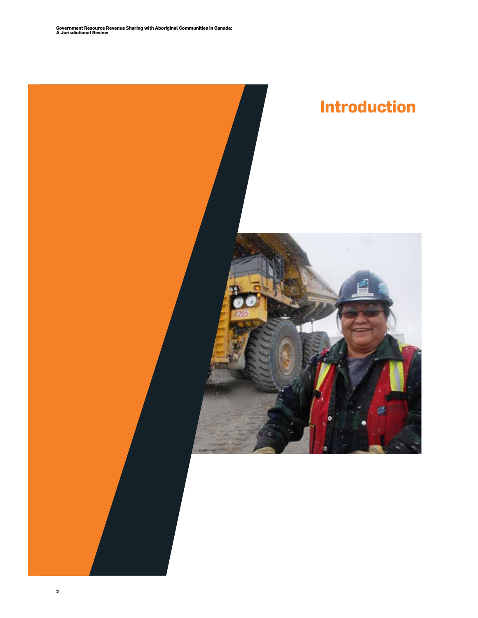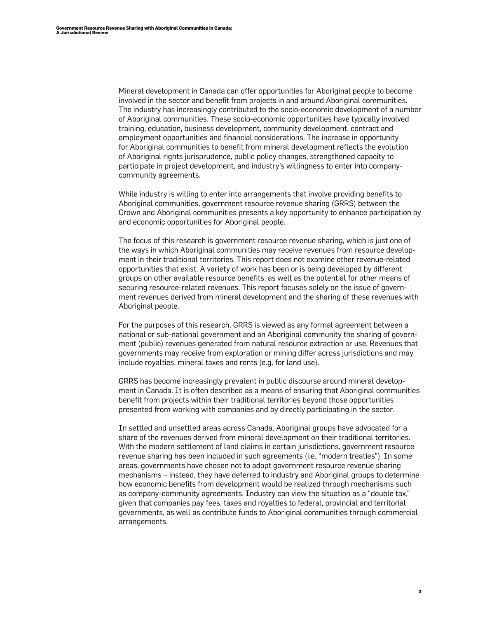Mineral development in Canada can offer opportunities for Aboriginal people to become involved in the sector and benefit from projects in and around Aboriginal communities. The industry has increasingly contributed to the socio-economic development of a number of Aboriginal communities. These socio-economic opportunities have typically involved training, education, business development, community development, contract and employment opportunities and financial considerations. The increase in opportunity for Aboriginal communities to benefit from mineral development reflects the evolution of Aboriginal rights jurisprudence, public policy changes, strengthened capacity to participate in project development, and industry's willingness to enter into companycommunity agreements.

While industry is willing to enter into arrangements that involve providing benefits to Aboriginal communities, government resource revenue sharing (GRRS) between the Crown and Aboriginal communities presents a key opportunity to enhance participation by and economic opportunities for Aboriginal people.

The focus of this research is government resource revenue sharing, which is just one of the ways in which Aboriginal communities may receive revenues from resource development in their traditional territories. This report does not examine other revenue-related opportunities that exist. A variety of work has been or is being developed by different groups on other available resource benefits, as well as the potential for other means of securing resource-related revenues. This report focuses solely on the issue of government revenues derived from mineral development and the sharing of these revenues with Aboriginal people.

For the purposes of this research, GRRS is viewed as any formal agreement between a national or sub-national government and an Aboriginal community the sharing of government (public) revenues generated from natural resource extraction or use. Revenues that governments may receive from exploration or mining differ across jurisdictions and may include royalties, mineral taxes and rents (e.g. for land use).

GRRS has become increasingly prevalent in public discourse around mineral development in Canada. It is often described as a means of ensuring that Aboriginal communities benefit from projects within their traditional territories beyond those opportunities presented from working with companies and by directly participating in the sector.

In settled and unsettled areas across Canada, Aboriginal groups have advocated for a share of the revenues derived from mineral development on their traditional territories. With the modern settlement of land claims in certain jurisdictions, government resource revenue sharing has been included in such agreements (i.e. "modern treaties"). In some areas, governments have chosen not to adopt government resource revenue sharing mechanisms – instead, they have deferred to industry and Aboriginal groups to determine how economic benefits from development would be realized through mechanisms such as company-community agreements. Industry can view the situation as a "double tax," given that companies pay fees, taxes and royalties to federal, provincial and territorial governments, as well as contribute funds to Aboriginal communities through commercial arrangements.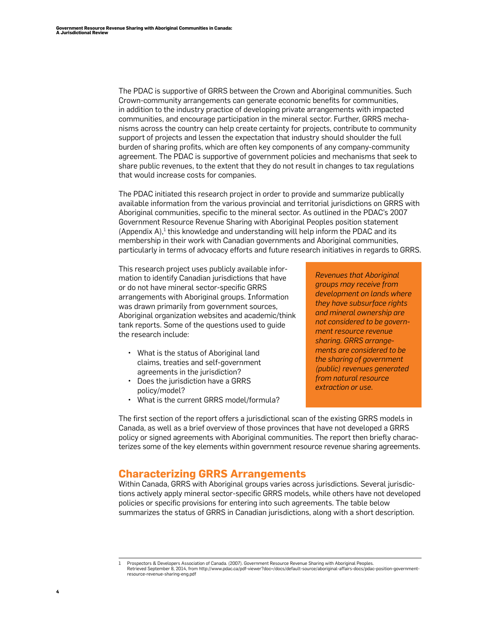The PDAC is supportive of GRRS between the Crown and Aboriginal communities. Such Crown-community arrangements can generate economic benefits for communities, in addition to the industry practice of developing private arrangements with impacted communities, and encourage participation in the mineral sector. Further, GRRS mechanisms across the country can help create certainty for projects, contribute to community support of projects and lessen the expectation that industry should shoulder the full burden of sharing profits, which are often key components of any company-community agreement. The PDAC is supportive of government policies and mechanisms that seek to share public revenues, to the extent that they do not result in changes to tax regulations that would increase costs for companies.

The PDAC initiated this research project in order to provide and summarize publically available information from the various provincial and territorial jurisdictions on GRRS with Aboriginal communities, specific to the mineral sector. As outlined in the PDAC's 2007 Government Resource Revenue Sharing with Aboriginal Peoples position statement (Appendix A), $<sup>1</sup>$  this knowledge and understanding will help inform the PDAC and its</sup> membership in their work with Canadian governments and Aboriginal communities, particularly in terms of advocacy efforts and future research initiatives in regards to GRRS.

This research project uses publicly available information to identify Canadian jurisdictions that have or do not have mineral sector-specific GRRS arrangements with Aboriginal groups. Information was drawn primarily from government sources, Aboriginal organization websites and academic/think tank reports. Some of the questions used to guide the research include:

- • What is the status of Aboriginal land claims, treaties and self-government agreements in the jurisdiction?
- Does the jurisdiction have a GRRS policy/model?
- What is the current GRRS model/formula?

*Revenues that Aboriginal groups may receive from development on lands where they have subsurface rights and mineral ownership are not considered to be government resource revenue sharing. GRRS arrangements are considered to be the sharing of government (public) revenues generated from natural resource extraction or use.*

The first section of the report offers a jurisdictional scan of the existing GRRS models in Canada, as well as a brief overview of those provinces that have not developed a GRRS policy or signed agreements with Aboriginal communities. The report then briefly characterizes some of the key elements within government resource revenue sharing agreements.

## **Characterizing GRRS Arrangements**

Within Canada, GRRS with Aboriginal groups varies across jurisdictions. Several jurisdictions actively apply mineral sector-specific GRRS models, while others have not developed policies or specific provisions for entering into such agreements. The table below summarizes the status of GRRS in Canadian jurisdictions, along with a short description.

<sup>1</sup> Prospectors & Developers Association of Canada. (2007). Government Resource Revenue Sharing with Aboriginal Peoples. Retrieved September 8, 2014, from http://www.pdac.ca/pdf-viewer?doc=/docs/default-source/aboriginal-affairs-docs/pdac-position-governmentresource-revenue-sharing-eng.pdf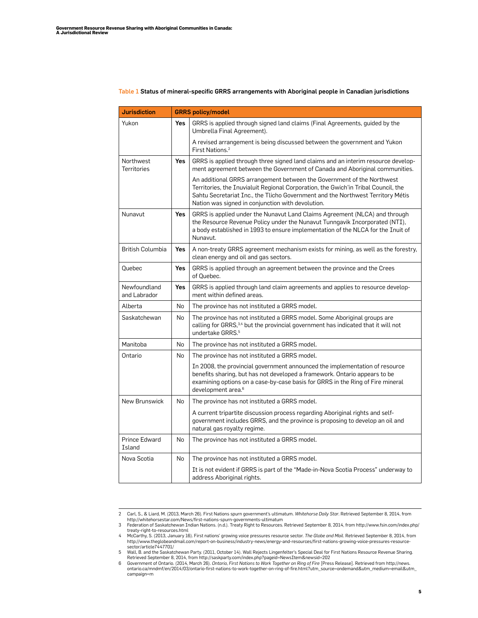#### Table 1 Status of mineral-specific GRRS arrangements with Aboriginal people in Canadian jurisdictions

| <b>Jurisdiction</b>             | <b>GRRS policy/model</b> |                                                                                                                                                                                                                                                                                                      |  |  |
|---------------------------------|--------------------------|------------------------------------------------------------------------------------------------------------------------------------------------------------------------------------------------------------------------------------------------------------------------------------------------------|--|--|
| Yukon                           | <b>Yes</b>               | GRRS is applied through signed land claims (Final Agreements, guided by the<br>Umbrella Final Agreement).                                                                                                                                                                                            |  |  |
|                                 |                          | A revised arrangement is being discussed between the government and Yukon<br>First Nations. <sup>2</sup>                                                                                                                                                                                             |  |  |
| Northwest<br><b>Territories</b> | <b>Yes</b>               | GRRS is applied through three signed land claims and an interim resource develop-<br>ment agreement between the Government of Canada and Aboriginal communities.                                                                                                                                     |  |  |
|                                 |                          | An additional GRRS arrangement between the Government of the Northwest<br>Territories, the Inuvialuit Regional Corporation, the Gwich'in Tribal Council, the<br>Sahtu Secretariat Inc., the Tlicho Government and the Northwest Territory Métis<br>Nation was signed in conjunction with devolution. |  |  |
| Nunavut                         | <b>Yes</b>               | GRRS is applied under the Nunavut Land Claims Agreement (NLCA) and through<br>the Resource Revenue Policy under the Nunavut Tunngavik Incorporated (NTI),<br>a body established in 1993 to ensure implementation of the NLCA for the Inuit of<br>Nunavut.                                            |  |  |
| <b>British Columbia</b>         | <b>Yes</b>               | A non-treaty GRRS agreement mechanism exists for mining, as well as the forestry,<br>clean energy and oil and gas sectors.                                                                                                                                                                           |  |  |
| Quebec                          | <b>Yes</b>               | GRRS is applied through an agreement between the province and the Crees<br>of Quebec.                                                                                                                                                                                                                |  |  |
| Newfoundland<br>and Labrador    | <b>Yes</b>               | GRRS is applied through land claim agreements and applies to resource develop-<br>ment within defined areas.                                                                                                                                                                                         |  |  |
| Alberta                         | No                       | The province has not instituted a GRRS model.                                                                                                                                                                                                                                                        |  |  |
| Saskatchewan                    | No                       | The province has not instituted a GRRS model. Some Aboriginal groups are<br>calling for GRRS, <sup>3,4</sup> but the provincial government has indicated that it will not<br>undertake GRRS. <sup>5</sup>                                                                                            |  |  |
| Manitoba                        | No                       | The province has not instituted a GRRS model.                                                                                                                                                                                                                                                        |  |  |
| Ontario                         | No                       | The province has not instituted a GRRS model.                                                                                                                                                                                                                                                        |  |  |
|                                 |                          | In 2008, the provincial government announced the implementation of resource<br>benefits sharing, but has not developed a framework. Ontario appears to be<br>examining options on a case-by-case basis for GRRS in the Ring of Fire mineral<br>development area. <sup>6</sup>                        |  |  |
| New Brunswick                   | No                       | The province has not instituted a GRRS model.                                                                                                                                                                                                                                                        |  |  |
|                                 |                          | A current tripartite discussion process regarding Aboriginal rights and self-<br>government includes GRRS, and the province is proposing to develop an oil and<br>natural gas royalty regime.                                                                                                        |  |  |
| Prince Edward<br>Island         | No                       | The province has not instituted a GRRS model.                                                                                                                                                                                                                                                        |  |  |
| Nova Scotia                     | No                       | The province has not instituted a GRRS model.                                                                                                                                                                                                                                                        |  |  |
|                                 |                          | It is not evident if GRRS is part of the "Made-in-Nova Scotia Process" underway to<br>address Aboriginal rights.                                                                                                                                                                                     |  |  |

<sup>2</sup> Carl, S., & Liard, M. (2013, March 26). First Nations spurn government's ultimatum. *Whitehorse Daily Star*. Retrieved September 8, 2014, from http://whitehorsestar.com/News/first-nations-spurn-governments-ultimatum 3 Federation of Saskatchewan Indian Nations. (n.d.). Treaty Right to Resources. Retrieved September 8, 2014, from http://www.fsin.com/index.php/

treaty-right-to-resources.html

<sup>4</sup> McCarthy, S. (2013, January 16). First nations' growing voice pressures resource sector. *The Globe and Mail.* Retrieved September 8, 2014, from<br>http://www.theglobeandmail.com/report-on-business/industry-news/energy-and-

<sup>5</sup> Wall, B. and the Saskatchewan Party. (2011, October 14). Wall Rejects Lingenfelter's Special Deal for First Nations Resource Revenue Sharing.

Retrieved September 8, 2014, from http://saskparty.com/index.php?pageid=NewsItem&newsid=202<br>6 Government of Ontario. (2014, March 26). Ontario, First Nations to Work Together on Ring of Fire [Press Release]. Retrieved fro campaign=m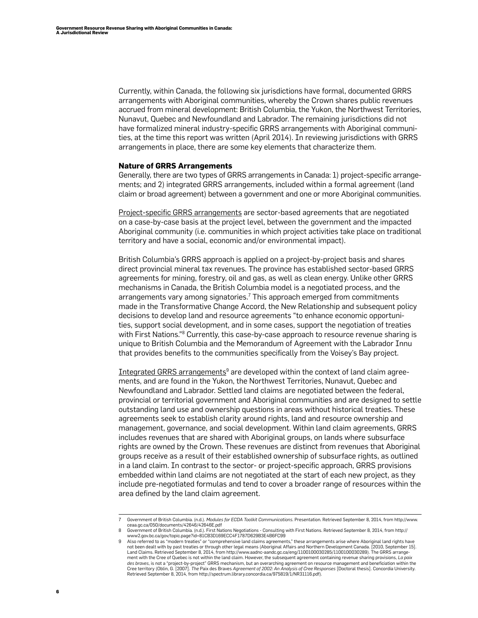Currently, within Canada, the following six jurisdictions have formal, documented GRRS arrangements with Aboriginal communities, whereby the Crown shares public revenues accrued from mineral development: British Columbia, the Yukon, the Northwest Territories, Nunavut, Quebec and Newfoundland and Labrador. The remaining jurisdictions did not have formalized mineral industry-specific GRRS arrangements with Aboriginal communities, at the time this report was written (April 2014). In reviewing jurisdictions with GRRS arrangements in place, there are some key elements that characterize them.

#### **Nature of GRRS Arrangements**

Generally, there are two types of GRRS arrangements in Canada: 1) project-specific arrangements; and 2) integrated GRRS arrangements, included within a formal agreement (land claim or broad agreement) between a government and one or more Aboriginal communities.

Project-specific GRRS arrangements are sector-based agreements that are negotiated on a case-by-case basis at the project level, between the government and the impacted Aboriginal community (i.e. communities in which project activities take place on traditional territory and have a social, economic and/or environmental impact).

British Columbia's GRRS approach is applied on a project-by-project basis and shares direct provincial mineral tax revenues. The province has established sector-based GRRS agreements for mining, forestry, oil and gas, as well as clean energy. Unlike other GRRS mechanisms in Canada, the British Columbia model is a negotiated process, and the arrangements vary among signatories.<sup>7</sup> This approach emerged from commitments made in the Transformative Change Accord, the New Relationship and subsequent policy decisions to develop land and resource agreements "to enhance economic opportunities, support social development, and in some cases, support the negotiation of treaties with First Nations."<sup>8</sup> Currently, this case-by-case approach to resource revenue sharing is unique to British Columbia and the Memorandum of Agreement with the Labrador Innu that provides benefits to the communities specifically from the Voisey's Bay project.

<u>Integrated GRRS arrangements</u> $^{\textrm{\textregistered}}$  are developed within the context of land claim agreements, and are found in the Yukon, the Northwest Territories, Nunavut, Quebec and Newfoundland and Labrador. Settled land claims are negotiated between the federal, provincial or territorial government and Aboriginal communities and are designed to settle outstanding land use and ownership questions in areas without historical treaties. These agreements seek to establish clarity around rights, land and resource ownership and management, governance, and social development. Within land claim agreements, GRRS includes revenues that are shared with Aboriginal groups, on lands where subsurface rights are owned by the Crown. These revenues are distinct from revenues that Aboriginal groups receive as a result of their established ownership of subsurface rights, as outlined in a land claim. In contrast to the sector- or project-specific approach, GRRS provisions embedded within land claims are not negotiated at the start of each new project, as they include pre-negotiated formulas and tend to cover a broader range of resources within the area defined by the land claim agreement.

<sup>7</sup> Government of British Columbia. (n.d.). *Modules for ECDA Toolkit Communications*. Presentation. Retrieved September 8, 2014, from http://www. ceaa.gc.ca/050/documents/42646/42646E.pdf

<sup>8</sup> Government of British Columbia. (n.d.). First Nations Negotiations - Consulting with First Nations. Retrieved September 8, 2014, from http:// www2.gov.bc.ca/gov/topic.page?id=81CB3D169ECC4F1787D629B3E4B6FC99

Also referred to as "modern treaties" or "comprehensive land claims agreements," these arrangements arise where Aboriginal land rights have not been dealt with by past treaties or through other legal means (Aboriginal Affairs and Northern Development Canada. [2010, September 15]. Land Claims. Retrieved September 8, 2014, from http://www.aadnc-aandc.gc.ca/eng/1100100030285/1100100030289). The GRRS arrangement with the Cree of Quebec is not within the land claim. However, the subsequent agreement containing revenue sharing provisions, *La paix des braves*, is not a "project-by-project" GRRS mechanism, but an overarching agreement on resource management and beneficiation within the Cree territory (Oblin, G. [2007]. *The* Paix des Braves *Agreement of 2002: An Analysis of Cree Responses* [Doctoral thesis]. Concordia University. Retrieved September 8, 2014, from http://spectrum.library.concordia.ca/975819/1/NR31116.pdf).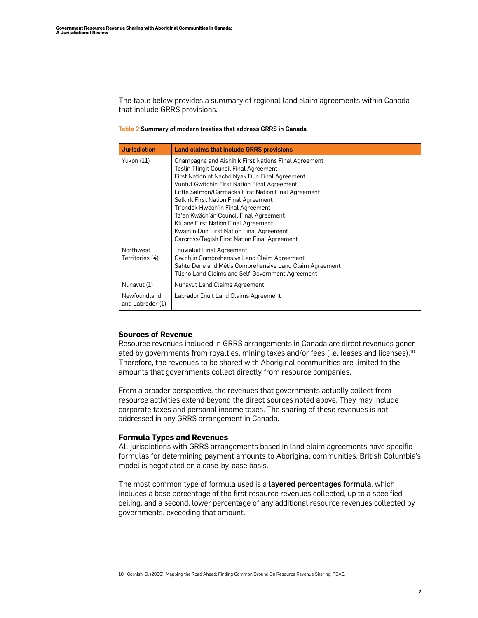The table below provides a summary of regional land claim agreements within Canada that include GRRS provisions.

#### Table 2 Summary of modern treaties that address GRRS in Canada

| <b>Jurisdiction</b>              | <b>Land claims that include GRRS provisions</b>                                                                                                                                                                                                                                                                                                                                                                                                                                                                          |
|----------------------------------|--------------------------------------------------------------------------------------------------------------------------------------------------------------------------------------------------------------------------------------------------------------------------------------------------------------------------------------------------------------------------------------------------------------------------------------------------------------------------------------------------------------------------|
| Yukon (11)                       | Champagne and Aishihik First Nations Final Agreement<br><b>Teslin Tlingit Council Final Agreement</b><br>First Nation of Nacho Nyak Dun Final Agreement<br>Vuntut Gwitchin First Nation Final Agreement<br>Little Salmon/Carmacks First Nation Final Agreement<br>Selkirk First Nation Final Agreement<br>Tr'ondëk Hwëch'in Final Agreement<br>Ta'an Kwäch'än Council Final Agreement<br>Kluane First Nation Final Agreement<br>Kwanlin Dün First Nation Final Agreement<br>Carcross/Tagish First Nation Final Agreement |
| Northwest<br>Territories (4)     | <b>Inuvialuit Final Agreement</b><br>Gwich'in Comprehensive Land Claim Agreement<br>Sahtu Dene and Métis Comprehensive Land Claim Agreement<br>Tlicho Land Claims and Self-Government Agreement                                                                                                                                                                                                                                                                                                                          |
| Nunavut (1)                      | Nunavut Land Claims Agreement                                                                                                                                                                                                                                                                                                                                                                                                                                                                                            |
| Newfoundland<br>and Labrador (1) | Labrador Inuit Land Claims Agreement                                                                                                                                                                                                                                                                                                                                                                                                                                                                                     |

## **Sources of Revenue**

Resource revenues included in GRRS arrangements in Canada are direct revenues generated by governments from royalties, mining taxes and/or fees (i.e. leases and licenses).10 Therefore, the revenues to be shared with Aboriginal communities are limited to the amounts that governments collect directly from resource companies.

From a broader perspective, the revenues that governments actually collect from resource activities extend beyond the direct sources noted above. They may include corporate taxes and personal income taxes. The sharing of these revenues is not addressed in any GRRS arrangement in Canada.

## **Formula Types and Revenues**

All jurisdictions with GRRS arrangements based in land claim agreements have specific formulas for determining payment amounts to Aboriginal communities. British Columbia's model is negotiated on a case-by-case basis.

The most common type of formula used is a layered percentages formula, which includes a base percentage of the first resource revenues collected, up to a specified ceiling, and a second, lower percentage of any additional resource revenues collected by governments, exceeding that amount.

10 Cornish, C. (2006). Mapping the Road Ahead: Finding Common Ground On Resource Revenue Sharing. PDAC.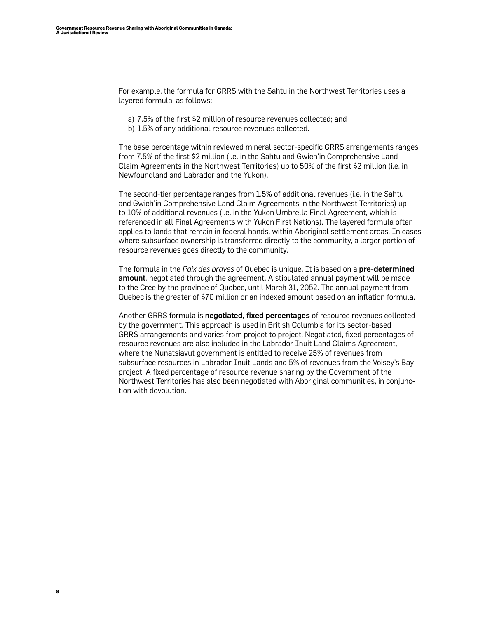For example, the formula for GRRS with the Sahtu in the Northwest Territories uses a layered formula, as follows:

- a) 7.5% of the first \$2 million of resource revenues collected; and
- b) 1.5% of any additional resource revenues collected.

The base percentage within reviewed mineral sector-specific GRRS arrangements ranges from 7.5% of the first \$2 million (i.e. in the Sahtu and Gwich'in Comprehensive Land Claim Agreements in the Northwest Territories) up to 50% of the first \$2 million (i.e. in Newfoundland and Labrador and the Yukon).

The second-tier percentage ranges from 1.5% of additional revenues (i.e. in the Sahtu and Gwich'in Comprehensive Land Claim Agreements in the Northwest Territories) up to 10% of additional revenues (i.e. in the Yukon Umbrella Final Agreement, which is referenced in all Final Agreements with Yukon First Nations). The layered formula often applies to lands that remain in federal hands, within Aboriginal settlement areas. In cases where subsurface ownership is transferred directly to the community, a larger portion of resource revenues goes directly to the community.

The formula in the *Paix des braves* of Quebec is unique. It is based on a pre-determined amount, negotiated through the agreement. A stipulated annual payment will be made to the Cree by the province of Quebec, until March 31, 2052. The annual payment from Quebec is the greater of \$70 million or an indexed amount based on an inflation formula.

Another GRRS formula is negotiated, fixed percentages of resource revenues collected by the government. This approach is used in British Columbia for its sector-based GRRS arrangements and varies from project to project. Negotiated, fixed percentages of resource revenues are also included in the Labrador Inuit Land Claims Agreement, where the Nunatsiavut government is entitled to receive 25% of revenues from subsurface resources in Labrador Inuit Lands and 5% of revenues from the Voisey's Bay project. A fixed percentage of resource revenue sharing by the Government of the Northwest Territories has also been negotiated with Aboriginal communities, in conjunction with devolution.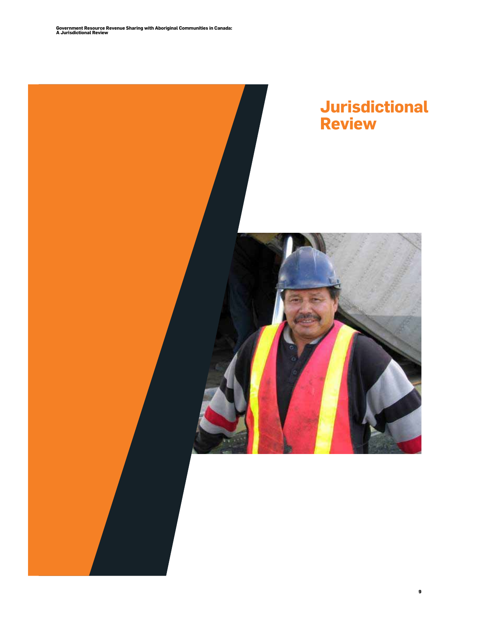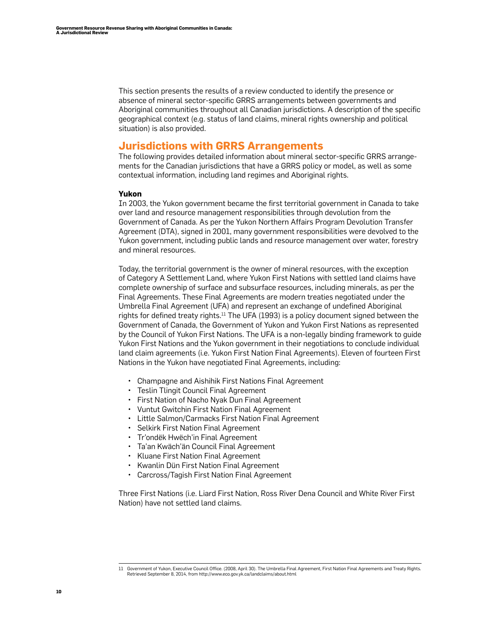This section presents the results of a review conducted to identify the presence or absence of mineral sector-specific GRRS arrangements between governments and Aboriginal communities throughout all Canadian jurisdictions. A description of the specific geographical context (e.g. status of land claims, mineral rights ownership and political situation) is also provided.

## **Jurisdictions with GRRS Arrangements**

The following provides detailed information about mineral sector-specific GRRS arrangements for the Canadian jurisdictions that have a GRRS policy or model, as well as some contextual information, including land regimes and Aboriginal rights.

#### **Yukon**

In 2003, the Yukon government became the first territorial government in Canada to take over land and resource management responsibilities through devolution from the Government of Canada. As per the Yukon Northern Affairs Program Devolution Transfer Agreement (DTA), signed in 2001, many government responsibilities were devolved to the Yukon government, including public lands and resource management over water, forestry and mineral resources.

Today, the territorial government is the owner of mineral resources, with the exception of Category A Settlement Land, where Yukon First Nations with settled land claims have complete ownership of surface and subsurface resources, including minerals, as per the Final Agreements. These Final Agreements are modern treaties negotiated under the Umbrella Final Agreement (UFA) and represent an exchange of undefined Aboriginal rights for defined treaty rights.<sup>11</sup> The UFA (1993) is a policy document signed between the Government of Canada, the Government of Yukon and Yukon First Nations as represented by the Council of Yukon First Nations. The UFA is a non-legally binding framework to guide Yukon First Nations and the Yukon government in their negotiations to conclude individual land claim agreements (i.e. Yukon First Nation Final Agreements). Eleven of fourteen First Nations in the Yukon have negotiated Final Agreements, including:

- • Champagne and Aishihik First Nations Final Agreement
- • Teslin Tlingit Council Final Agreement
- • First Nation of Nacho Nyak Dun Final Agreement
- • Vuntut Gwitchin First Nation Final Agreement
- • Little Salmon/Carmacks First Nation Final Agreement
- • Selkirk First Nation Final Agreement
- • Tr'ondëk Hwëch'in Final Agreement
- • Ta'an Kwäch'än Council Final Agreement
- • Kluane First Nation Final Agreement
- • Kwanlin Dün First Nation Final Agreement
- • Carcross/Tagish First Nation Final Agreement

Three First Nations (i.e. Liard First Nation, Ross River Dena Council and White River First Nation) have not settled land claims.

<sup>11</sup> Government of Yukon, Executive Council Office. (2008, April 30). The Umbrella Final Agreement, First Nation Final Agreements and Treaty Rights. Retrieved September 8, 2014, from http://www.eco.gov.yk.ca/landclaims/about.html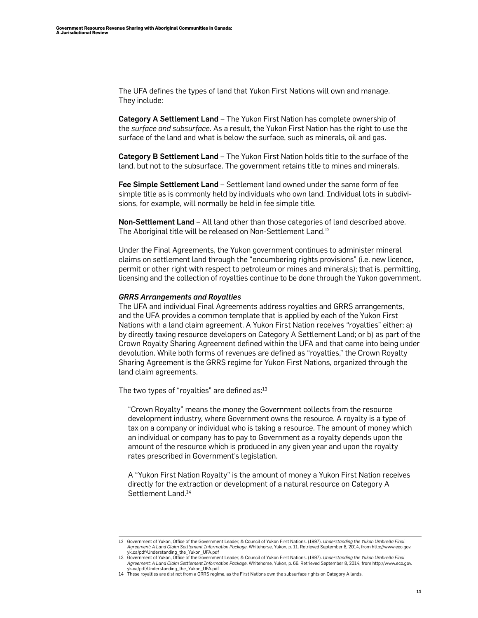The UFA defines the types of land that Yukon First Nations will own and manage. They include:

Category A Settlement Land – The Yukon First Nation has complete ownership of the *surface and subsurface*. As a result, the Yukon First Nation has the right to use the surface of the land and what is below the surface, such as minerals, oil and gas.

Category B Settlement Land – The Yukon First Nation holds title to the surface of the land, but not to the subsurface. The government retains title to mines and minerals.

Fee Simple Settlement Land – Settlement land owned under the same form of fee simple title as is commonly held by individuals who own land. Individual lots in subdivisions, for example, will normally be held in fee simple title.

Non-Settlement Land – All land other than those categories of land described above. The Aboriginal title will be released on Non-Settlement Land.12

Under the Final Agreements, the Yukon government continues to administer mineral claims on settlement land through the "encumbering rights provisions" (i.e. new licence, permit or other right with respect to petroleum or mines and minerals); that is, permitting, licensing and the collection of royalties continue to be done through the Yukon government.

#### *GRRS Arrangements and Royalties*

The UFA and individual Final Agreements address royalties and GRRS arrangements, and the UFA provides a common template that is applied by each of the Yukon First Nations with a land claim agreement. A Yukon First Nation receives "royalties" either: a) by directly taxing resource developers on Category A Settlement Land; or b) as part of the Crown Royalty Sharing Agreement defined within the UFA and that came into being under devolution. While both forms of revenues are defined as "royalties," the Crown Royalty Sharing Agreement is the GRRS regime for Yukon First Nations, organized through the land claim agreements.

The two types of "royalties" are defined as:13

"Crown Royalty" means the money the Government collects from the resource development industry, where Government owns the resource. A royalty is a type of tax on a company or individual who is taking a resource. The amount of money which an individual or company has to pay to Government as a royalty depends upon the amount of the resource which is produced in any given year and upon the royalty rates prescribed in Government's legislation.

A "Yukon First Nation Royalty" is the amount of money a Yukon First Nation receives directly for the extraction or development of a natural resource on Category A Settlement Land.<sup>14</sup>

<sup>12</sup> Government of Yukon, Office of the Government Leader, & Council of Yukon First Nations. (1997). *Understanding the Yukon Umbrella Final Agreement: A Land Claim Settlement Information Package*. Whitehorse, Yukon, p. 11. Retrieved September 8, 2014, from http://www.eco.gov. yk.ca/pdf/Understanding\_the\_Yukon\_UFA.pdf

<sup>13</sup> Government of Yukon, Office of the Government Leader, & Council of Yukon First Nations. (1997). *Understanding the Yukon Umbrella Final Agreement: A Land Claim Settlement Information Package*. Whitehorse, Yukon, p. 66. Retrieved September 8, 2014, from http://www.eco.gov. yk.ca/pdf/Understanding\_the\_Yukon\_UFA.pdf

<sup>14</sup> These royalties are distinct from a GRRS regime, as the First Nations own the subsurface rights on Category A lands.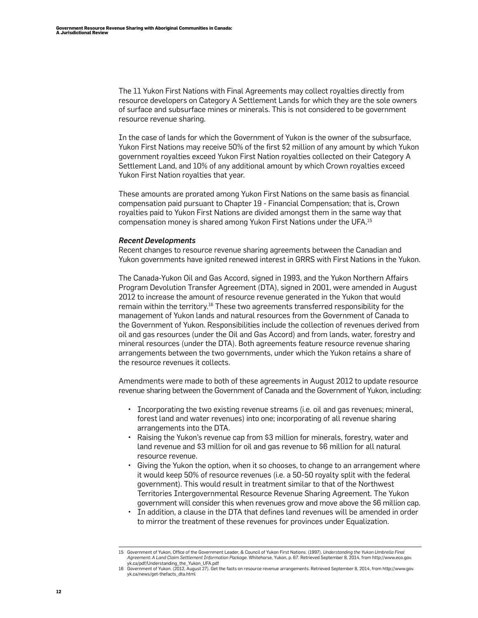The 11 Yukon First Nations with Final Agreements may collect royalties directly from resource developers on Category A Settlement Lands for which they are the sole owners of surface and subsurface mines or minerals. This is not considered to be government resource revenue sharing.

In the case of lands for which the Government of Yukon is the owner of the subsurface, Yukon First Nations may receive 50% of the first \$2 million of any amount by which Yukon government royalties exceed Yukon First Nation royalties collected on their Category A Settlement Land, and 10% of any additional amount by which Crown royalties exceed Yukon First Nation royalties that year.

These amounts are prorated among Yukon First Nations on the same basis as financial compensation paid pursuant to Chapter 19 - Financial Compensation; that is, Crown royalties paid to Yukon First Nations are divided amongst them in the same way that compensation money is shared among Yukon First Nations under the UFA.15

## *Recent Developments*

Recent changes to resource revenue sharing agreements between the Canadian and Yukon governments have ignited renewed interest in GRRS with First Nations in the Yukon.

The Canada-Yukon Oil and Gas Accord, signed in 1993, and the Yukon Northern Affairs Program Devolution Transfer Agreement (DTA), signed in 2001, were amended in August 2012 to increase the amount of resource revenue generated in the Yukon that would remain within the territory.16 These two agreements transferred responsibility for the management of Yukon lands and natural resources from the Government of Canada to the Government of Yukon. Responsibilities include the collection of revenues derived from oil and gas resources (under the Oil and Gas Accord) and from lands, water, forestry and mineral resources (under the DTA). Both agreements feature resource revenue sharing arrangements between the two governments, under which the Yukon retains a share of the resource revenues it collects.

Amendments were made to both of these agreements in August 2012 to update resource revenue sharing between the Government of Canada and the Government of Yukon, including:

- Incorporating the two existing revenue streams (i.e. oil and gas revenues; mineral, forest land and water revenues) into one; incorporating of all revenue sharing arrangements into the DTA.
- Raising the Yukon's revenue cap from \$3 million for minerals, forestry, water and land revenue and \$3 million for oil and gas revenue to \$6 million for all natural resource revenue.
- • Giving the Yukon the option, when it so chooses, to change to an arrangement where it would keep 50% of resource revenues (i.e. a 50-50 royalty split with the federal government). This would result in treatment similar to that of the Northwest Territories Intergovernmental Resource Revenue Sharing Agreement. The Yukon government will consider this when revenues grow and move above the \$6 million cap.
- In addition, a clause in the DTA that defines land revenues will be amended in order to mirror the treatment of these revenues for provinces under Equalization.

<sup>15</sup> Government of Yukon, Office of the Government Leader, & Council of Yukon First Nations. (1997). *Understanding the Yukon Umbrella Final Agreement: A Land Claim Settlement Information Package*. Whitehorse, Yukon, p. 67. Retrieved September 8, 2014, from http://www.eco.gov. yk.ca/pdf/Understanding\_the\_Yukon\_UFA.pdf

<sup>16</sup> Government of Yukon. (2012, August 27). Get the facts on resource revenue arrangements. Retrieved September 8, 2014, from http://www.gov. yk.ca/news/get-thefacts\_dta.html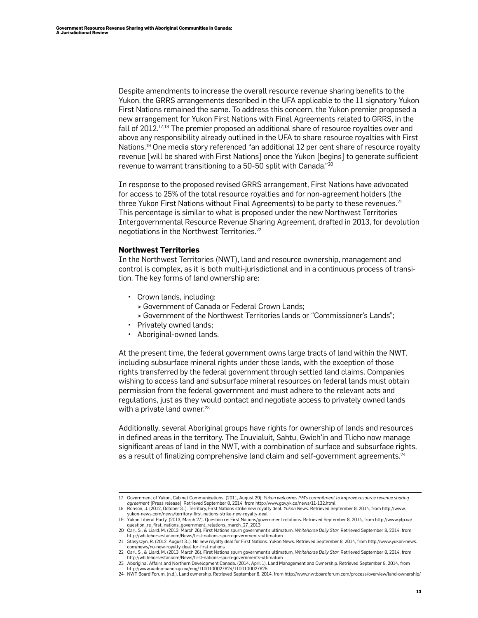Despite amendments to increase the overall resource revenue sharing benefits to the Yukon, the GRRS arrangements described in the UFA applicable to the 11 signatory Yukon First Nations remained the same. To address this concern, the Yukon premier proposed a new arrangement for Yukon First Nations with Final Agreements related to GRRS, in the fall of 2012.17,18 The premier proposed an additional share of resource royalties over and above any responsibility already outlined in the UFA to share resource royalties with First Nations.<sup>19</sup> One media story referenced "an additional 12 per cent share of resource royalty revenue [will be shared with First Nations] once the Yukon [begins] to generate sufficient revenue to warrant transitioning to a 50-50 split with Canada."20

In response to the proposed revised GRRS arrangement, First Nations have advocated for access to 25% of the total resource royalties and for non-agreement holders (the three Yukon First Nations without Final Agreements) to be party to these revenues.<sup>21</sup> This percentage is similar to what is proposed under the new Northwest Territories Intergovernmental Resource Revenue Sharing Agreement, drafted in 2013, for devolution negotiations in the Northwest Territories.22

#### **Northwest Territories**

In the Northwest Territories (NWT), land and resource ownership, management and control is complex, as it is both multi-jurisdictional and in a continuous process of transition. The key forms of land ownership are:

- • Crown lands, including:
	- > Government of Canada or Federal Crown Lands;
	- > Government of the Northwest Territories lands or "Commissioner's Lands";
- Privately owned lands;
- • Aboriginal-owned lands.

At the present time, the federal government owns large tracts of land within the NWT, including subsurface mineral rights under those lands, with the exception of those rights transferred by the federal government through settled land claims. Companies wishing to access land and subsurface mineral resources on federal lands must obtain permission from the federal government and must adhere to the relevant acts and regulations, just as they would contact and negotiate access to privately owned lands with a private land owner. $23$ 

Additionally, several Aboriginal groups have rights for ownership of lands and resources in defined areas in the territory. The Inuvialuit, Sahtu, Gwich'in and Tlicho now manage significant areas of land in the NWT, with a combination of surface and subsurface rights, as a result of finalizing comprehensive land claim and self-government agreements.<sup>24</sup>

<sup>17</sup> Government of Yukon, Cabinet Communications. (2011, August 29). *Yukon welcomes PM's commitment to improve resource revenue sharing agreement* [Press release]. Retrieved September 8, 2014, from http://www.gov.yk.ca/news/11-132.html

<sup>18</sup> Ronson, J. (2012, October 31). Territory, First Nations strike new royalty deal. *Yukon News*. Retrieved September 8, 2014, from http://www. yukon-news.com/news/territory-first-nations-strike-new-royalty-deal 19 Yukon Liberal Party. (2013, March 27). Question re: First Nations/government relations. Retrieved September 8, 2014, from http://www.ylp.ca/

question\_re\_first\_nations\_government\_relations\_march\_27\_2013 20 Carl, S., & Liard, M. (2013, March 26). First Nations spurn government's ultimatum. *Whitehorse Daily Star*. Retrieved September 8, 2014, from

http://whitehorsestar.com/News/first-nations-spurn-governments-ultimatum 21 Stasyszyn, R. (2012, August 31). No new royalty deal for First Nations. Yukon News. Retrieved September 8, 2014, from http://www.yukon-news.

com/news/no-new-royalty-deal-for-first-nations 22 Carl, S., & Liard, M. (2013, March 26). First Nations spurn government's ultimatum. *Whitehorse Daily Star*. Retrieved September 8, 2014, from

http://whitehorsestar.com/News/first-nations-spurn-governments-ultimatum 23 Aboriginal Affairs and Northern Development Canada. (2014, April 1). Land Management and Ownership. Retrieved September 8, 2014, from

http://www.aadnc-aandc.gc.ca/eng/1100100027624/1100100027625 24 NWT Board Forum. (n.d.). Land ownership. Retrieved September 8, 2014, from http://www.nwtboardforum.com/process/overview/land-ownership/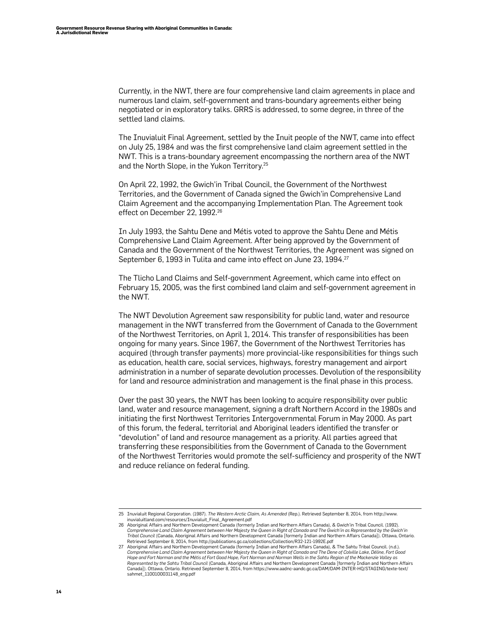Currently, in the NWT, there are four comprehensive land claim agreements in place and numerous land claim, self-government and trans-boundary agreements either being negotiated or in exploratory talks. GRRS is addressed, to some degree, in three of the settled land claims.

The Inuvialuit Final Agreement, settled by the Inuit people of the NWT, came into effect on July 25, 1984 and was the first comprehensive land claim agreement settled in the NWT. This is a trans-boundary agreement encompassing the northern area of the NWT and the North Slope, in the Yukon Territory.25

On April 22, 1992, the Gwich'in Tribal Council, the Government of the Northwest Territories, and the Government of Canada signed the Gwich'in Comprehensive Land Claim Agreement and the accompanying Implementation Plan. The Agreement took effect on December 22, 1992.26

In July 1993, the Sahtu Dene and Métis voted to approve the Sahtu Dene and Métis Comprehensive Land Claim Agreement. After being approved by the Government of Canada and the Government of the Northwest Territories, the Agreement was signed on September 6, 1993 in Tulita and came into effect on June 23, 1994.<sup>27</sup>

The Tlicho Land Claims and Self-government Agreement, which came into effect on February 15, 2005, was the first combined land claim and self-government agreement in the NWT.

The NWT Devolution Agreement saw responsibility for public land, water and resource management in the NWT transferred from the Government of Canada to the Government of the Northwest Territories, on April 1, 2014. This transfer of responsibilities has been ongoing for many years. Since 1967, the Government of the Northwest Territories has acquired (through transfer payments) more provincial-like responsibilities for things such as education, health care, social services, highways, forestry management and airport administration in a number of separate devolution processes. Devolution of the responsibility for land and resource administration and management is the final phase in this process.

Over the past 30 years, the NWT has been looking to acquire responsibility over public land, water and resource management, signing a draft Northern Accord in the 1980s and initiating the first Northwest Territories Intergovernmental Forum in May 2000. As part of this forum, the federal, territorial and Aboriginal leaders identified the transfer or "devolution" of land and resource management as a priority. All parties agreed that transferring these responsibilities from the Government of Canada to the Government of the Northwest Territories would promote the self-sufficiency and prosperity of the NWT and reduce reliance on federal funding.

<sup>25</sup> Inuvialuit Regional Corporation. (1987). *The Western Arctic Claim, As Amended* (Rep.). Retrieved September 8, 2014, from http://www. inuvialuitland.com/resources/Inuvialuit\_Final\_Agreement.pdf

<sup>26</sup> Aboriginal Affairs and Northern Development Canada (formerly Indian and Northern Affairs Canada), & Gwich'in Tribal Council. (1992). Comprehensive Land Claim Agreement between Her Majesty the Queen in Right of Canada and The Gwich'in as Represented by the Gwich'in *Tribal Council* (Canada, Aboriginal Affairs and Northern Development Canada [formerly Indian and Northern Affairs Canada]). Ottawa, Ontario. Retrieved September 8, 2014, from http://publications.gc.ca/collections/Collection/R32-121-1992E.pdf

<sup>27</sup> Aboriginal Affairs and Northern Development Canada (formerly Indian and Northern Affairs Canada), & The Sahtu Tribal Council. (n.d.). *Comprehensive Land Claim Agreement between Her Majesty the Queen in Right of Canada and The Dene of Colville Lake, Déline, Fort Good Hope and Fort Norman and the Métis of Fort Good Hope, Fort Norman and Norman Wells in the Sahtu Region of the Mackenzie Valley as Represented by the Sahtu Tribal Council* (Canada, Aboriginal Affairs and Northern Development Canada [formerly Indian and Northern Affairs Canada]). Ottawa, Ontario. Retrieved September 8, 2014, from https://www.aadnc-aandc.gc.ca/DAM/DAM-INTER-HQ/STAGING/texte-text/ sahmet\_1100100031148\_eng.pdf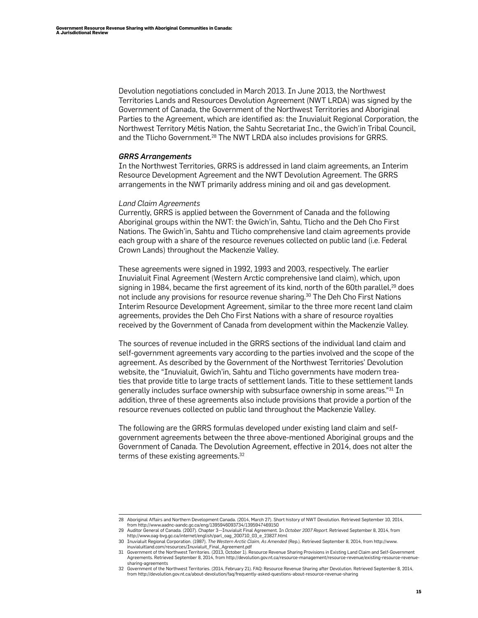Devolution negotiations concluded in March 2013. In June 2013, the Northwest Territories Lands and Resources Devolution Agreement (NWT LRDA) was signed by the Government of Canada, the Government of the Northwest Territories and Aboriginal Parties to the Agreement, which are identified as: the Inuvialuit Regional Corporation, the Northwest Territory Métis Nation, the Sahtu Secretariat Inc., the Gwich'in Tribal Council, and the Tlicho Government.<sup>28</sup> The NWT LRDA also includes provisions for GRRS.

#### *GRRS Arrangements*

In the Northwest Territories, GRRS is addressed in land claim agreements, an Interim Resource Development Agreement and the NWT Devolution Agreement. The GRRS arrangements in the NWT primarily address mining and oil and gas development.

#### *Land Claim Agreements*

Currently, GRRS is applied between the Government of Canada and the following Aboriginal groups within the NWT: the Gwich'in, Sahtu, Tlicho and the Deh Cho First Nations. The Gwich'in, Sahtu and Tlicho comprehensive land claim agreements provide each group with a share of the resource revenues collected on public land (i.e. Federal Crown Lands) throughout the Mackenzie Valley.

These agreements were signed in 1992, 1993 and 2003, respectively. The earlier Inuvialuit Final Agreement (Western Arctic comprehensive land claim), which, upon signing in 1984, became the first agreement of its kind, north of the 60th parallel, $^{29}$  does not include any provisions for resource revenue sharing.<sup>30</sup> The Deh Cho First Nations Interim Resource Development Agreement, similar to the three more recent land claim agreements, provides the Deh Cho First Nations with a share of resource royalties received by the Government of Canada from development within the Mackenzie Valley.

The sources of revenue included in the GRRS sections of the individual land claim and self-government agreements vary according to the parties involved and the scope of the agreement. As described by the Government of the Northwest Territories' Devolution website, the "Inuvialuit, Gwich'in, Sahtu and Tlicho governments have modern treaties that provide title to large tracts of settlement lands. Title to these settlement lands generally includes surface ownership with subsurface ownership in some areas."<sup>31</sup> In addition, three of these agreements also include provisions that provide a portion of the resource revenues collected on public land throughout the Mackenzie Valley.

The following are the GRRS formulas developed under existing land claim and selfgovernment agreements between the three above-mentioned Aboriginal groups and the Government of Canada. The Devolution Agreement, effective in 2014, does not alter the terms of these existing agreements.<sup>32</sup>

<sup>28</sup> Aboriginal Affairs and Northern Development Canada. (2014, March 27). Short history of NWT Devolution. Retrieved September 10, 2014, from http://www.aadnc-aandc.gc.ca/eng/1395946093734/1395947469150 29 Auditor General of Canada. (2007). Chapter 3—Inuvialuit Final Agreement. In *October 2007 Report*. Retrieved September 8, 2014, from

http://www.oag-bvg.gc.ca/internet/english/parl\_oag\_200710\_03\_e\_23827.html

<sup>30</sup> Inuvialuit Regional Corporation. (1987). *The Western Arctic Claim, As Amended* (Rep.). Retrieved September 8, 2014, from http://www. inuvialuitland.com/resources/Inuvialuit\_Final\_Agreement.pdf

<sup>31</sup> Government of the Northwest Territories. (2013, October 1). Resource Revenue Sharing Provisions in Existing Land Claim and Self-Government Agreements. Retrieved September 8, 2014, from http://devolution.gov.nt.ca/resource-management/resource-revenue/existing-resource-revenuesharing-agreements

<sup>32</sup> Government of the Northwest Territories. (2014, February 21). FAQ: Resource Revenue Sharing after Devolution. Retrieved September 8, 2014, from http://devolution.gov.nt.ca/about-devolution/faq/frequently-asked-questions-about-resource-revenue-sharing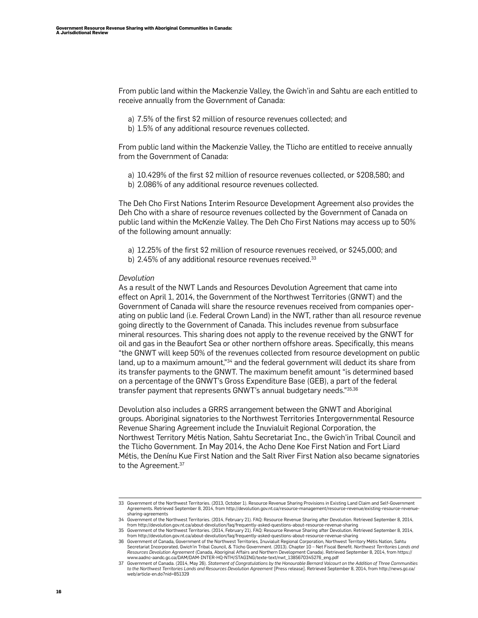From public land within the Mackenzie Valley, the Gwich'in and Sahtu are each entitled to receive annually from the Government of Canada:

- a) 7.5% of the first \$2 million of resource revenues collected; and
- b) 1.5% of any additional resource revenues collected.

From public land within the Mackenzie Valley, the Tlicho are entitled to receive annually from the Government of Canada:

- a) 10.429% of the first \$2 million of resource revenues collected, or \$208,580; and
- b) 2.086% of any additional resource revenues collected.

The Deh Cho First Nations Interim Resource Development Agreement also provides the Deh Cho with a share of resource revenues collected by the Government of Canada on public land within the McKenzie Valley. The Deh Cho First Nations may access up to 50% of the following amount annually:

- a) 12.25% of the first \$2 million of resource revenues received, or \$245,000; and
- b) 2.45% of any additional resource revenues received.<sup>33</sup>

#### *Devolution*

As a result of the NWT Lands and Resources Devolution Agreement that came into effect on April 1, 2014, the Government of the Northwest Territories (GNWT) and the Government of Canada will share the resource revenues received from companies operating on public land (i.e. Federal Crown Land) in the NWT, rather than all resource revenue going directly to the Government of Canada. This includes revenue from subsurface mineral resources. This sharing does not apply to the revenue received by the GNWT for oil and gas in the Beaufort Sea or other northern offshore areas. Specifically, this means "the GNWT will keep 50% of the revenues collected from resource development on public land, up to a maximum amount,"34 and the federal government will deduct its share from its transfer payments to the GNWT. The maximum benefit amount "is determined based on a percentage of the GNWT's Gross Expenditure Base (GEB), a part of the federal transfer payment that represents GNWT's annual budgetary needs."35,36

Devolution also includes a GRRS arrangement between the GNWT and Aboriginal groups. Aboriginal signatories to the Northwest Territories Intergovernmental Resource Revenue Sharing Agreement include the Inuvialuit Regional Corporation, the Northwest Territory Métis Nation, Sahtu Secretariat Inc., the Gwich'in Tribal Council and the Tlicho Government. In May 2014, the Acho Dene Koe First Nation and Fort Liard Métis, the Denínu Kue First Nation and the Salt River First Nation also became signatories to the Agreement.<sup>37</sup>

<sup>33</sup> Government of the Northwest Territories. (2013, October 1). Resource Revenue Sharing Provisions in Existing Land Claim and Self-Government Agreements. Retrieved September 8, 2014, from http://devolution.gov.nt.ca/resource-management/resource-revenue/existing-resource-revenuesharing-agreements

<sup>34</sup> Government of the Northwest Territories. (2014, February 21). FAQ: Resource Revenue Sharing after Devolution. Retrieved September 8, 2014,

<sup>,</sup> from http://devolution.gov.nt.ca/about-devolution/faq/frequently-asked-questions-about-resource-revenue-sharing<br>35 Government of the Northwest Territories. (2014, February 21). FAQ: Resource Revenue Sharing after Devolut from http://devolution.gov.nt.ca/about-devolution/faq/frequently-asked-questions-about-resource-revenue-sharing

<sup>36</sup> Government of Canada, Government of the Northwest Territories, Inuvialuit Regional Corporation, Northwest Territory Métis Nation, Sahtu Secretariat Incorporated, Gwich'in Tribal Council, & Tlicho Government. (2013). Chapter 10 – Net Fiscal Benefit. *Northwest Territories Lands and Resources Devolution Agreement* (Canada, Aboriginal Affairs and Northern Development Canada). Retrieved September 8, 2014, from https:// www.aadnc-aandc.gc.ca/DAM/DAM-INTER-HQ-NTH/STAGING/texte-text/nwt\_1385670345276\_eng.pdf

<sup>37</sup> Government of Canada. (2014, May 26). *Statement of Congratulations by the Honourable Bernard Valcourt on the Addition of Three Communities to the Northwest Territories Lands and Resources Devolution Agreement* [Press release]. Retrieved September 8, 2014, from http://news.gc.ca/ web/article-en.do?nid=851329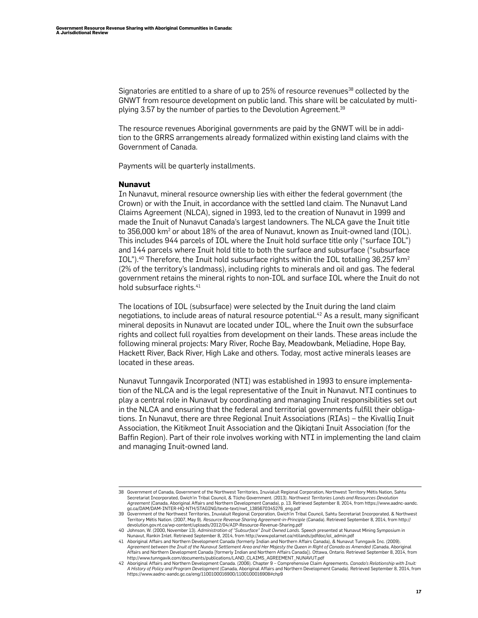Signatories are entitled to a share of up to  $25%$  of resource revenues<sup>38</sup> collected by the GNWT from resource development on public land. This share will be calculated by multiplying 3.57 by the number of parties to the Devolution Agreement.<sup>39</sup>

The resource revenues Aboriginal governments are paid by the GNWT will be in addition to the GRRS arrangements already formalized within existing land claims with the Government of Canada.

Payments will be quarterly installments.

## **Nunavut**

In Nunavut, mineral resource ownership lies with either the federal government (the Crown) or with the Inuit, in accordance with the settled land claim. The Nunavut Land Claims Agreement (NLCA), signed in 1993, led to the creation of Nunavut in 1999 and made the Inuit of Nunavut Canada's largest landowners. The NLCA gave the Inuit title to 356,000 km² or about 18% of the area of Nunavut, known as Inuit-owned land (IOL). This includes 944 parcels of IOL where the Inuit hold surface title only ("surface IOL") and 144 parcels where Inuit hold title to both the surface and subsurface ("subsurface IOL").<sup>40</sup> Therefore, the Inuit hold subsurface rights within the IOL totalling 36,257 km<sup>2</sup> (2% of the territory's landmass), including rights to minerals and oil and gas. The federal government retains the mineral rights to non-IOL and surface IOL where the Inuit do not hold subsurface rights.<sup>41</sup>

The locations of IOL (subsurface) were selected by the Inuit during the land claim negotiations, to include areas of natural resource potential.42 As a result, many significant mineral deposits in Nunavut are located under IOL, where the Inuit own the subsurface rights and collect full royalties from development on their lands. These areas include the following mineral projects: Mary River, Roche Bay, Meadowbank, Meliadine, Hope Bay, Hackett River, Back River, High Lake and others. Today, most active minerals leases are located in these areas.

Nunavut Tunngavik Incorporated (NTI) was established in 1993 to ensure implementation of the NLCA and is the legal representative of the Inuit in Nunavut. NTI continues to play a central role in Nunavut by coordinating and managing Inuit responsibilities set out in the NLCA and ensuring that the federal and territorial governments fulfill their obligations. In Nunavut, there are three Regional Inuit Associations (RIAs) – the Kivalliq Inuit Association, the Kitikmeot Inuit Association and the Qikiqtani Inuit Association (for the Baffin Region). Part of their role involves working with NTI in implementing the land claim and managing Inuit-owned land.

<sup>38</sup> Government of Canada, Government of the Northwest Territories, Inuvialuit Regional Corporation, Northwest Territory Métis Nation, Sahtu Secretariat Incorporated, Gwich'in Tribal Council, & Tlicho Government. (2013). *Northwest Territories Lands and Resources Devolution Agreement* (Canada, Aboriginal Affairs and Northern Development Canada), p. 13. Retrieved September 8, 2014, from https://www.aadnc-aandc. gc.ca/DAM/DAM-INTER-HQ-NTH/STAGING/texte-text/nwt\_1385670345276\_eng.pdf

<sup>39</sup> Government of the Northwest Territories, Inuvialuit Regional Corporation, Gwich'in Tribal Council, Sahtu Secretariat Incorporated, & Northwest Territory Métis Nation. (2007, May 9). *Resource Revenue Sharing Agreement-in-Principle* (Canada). Retrieved September 8, 2014, from http:// devolution.gov.nt.ca/wp-content/uploads/2012/04/AIP-Resource-Revenue-Sharing.pdf

<sup>40</sup> Johnson, W. (2000, November 13). *Administration of "Subsurface" Inuit Owned Lands*. Speech presented at Nunavut Mining Symposium in Nunavut, Rankin Inlet. Retrieved September 8, 2014, from http://www.polarnet.ca/ntilands/pdfdoc/iol\_admin.pdf

<sup>.41</sup> Aboriginal Affairs and Northern Development Canada (formerly Indian and Northern Affairs Canada), & Nunavut Tunngavik Inc. (2009).<br>Agreement between the Inuit of the Nunavut Settlement Area and Her Majesty the Queen in Affairs and Northern Development Canada [formerly Indian and Northern Affairs Canada]). Ottawa, Ontario. Retrieved September 8, 2014, from http://www.tunngavik.com/documents/publications/LAND\_CLAIMS\_AGREEMENT\_NUNAVUT.pdf

<sup>42</sup> Aboriginal Affairs and Northern Development Canada. (2006). Chapter 9 – Comprehensive Claim Agreements. *Canada's Relationship with Inuit: A History of Policy and Program Development* (Canada, Aboriginal Affairs and Northern Development Canada). Retrieved September 8, 2014, from https://www.aadnc-aandc.gc.ca/eng/1100100016900/1100100016908#chp9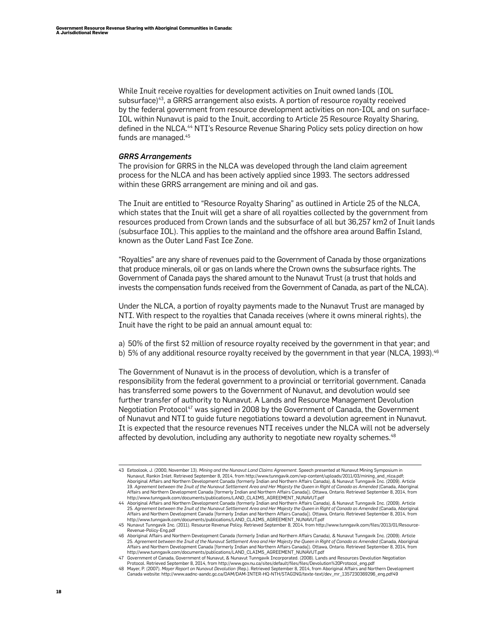While Inuit receive royalties for development activities on Inuit owned lands (IOL subsurface)<sup>43</sup>, a GRRS arrangement also exists. A portion of resource royalty received by the federal government from resource development activities on non-IOL and on surface-IOL within Nunavut is paid to the Inuit, according to Article 25 Resource Royalty Sharing, defined in the NLCA.<sup>44</sup> NTI's Resource Revenue Sharing Policy sets policy direction on how funds are managed.45

#### *GRRS Arrangements*

The provision for GRRS in the NLCA was developed through the land claim agreement process for the NLCA and has been actively applied since 1993. The sectors addressed within these GRRS arrangement are mining and oil and gas.

The Inuit are entitled to "Resource Royalty Sharing" as outlined in Article 25 of the NLCA, which states that the Inuit will get a share of all royalties collected by the government from resources produced from Crown lands and the subsurface of all but 36,257 km2 of Inuit lands (subsurface IOL). This applies to the mainland and the offshore area around Baffin Island, known as the Outer Land Fast Ice Zone.

"Royalties" are any share of revenues paid to the Government of Canada by those organizations that produce minerals, oil or gas on lands where the Crown owns the subsurface rights. The Government of Canada pays the shared amount to the Nunavut Trust (a trust that holds and invests the compensation funds received from the Government of Canada, as part of the NLCA).

Under the NLCA, a portion of royalty payments made to the Nunavut Trust are managed by NTI. With respect to the royalties that Canada receives (where it owns mineral rights), the Inuit have the right to be paid an annual amount equal to:

a) 50% of the first \$2 million of resource royalty received by the government in that year; and b) 5% of any additional resource royalty received by the government in that year (NLCA, 1993).<sup>46</sup>

The Government of Nunavut is in the process of devolution, which is a transfer of responsibility from the federal government to a provincial or territorial government. Canada has transferred some powers to the Government of Nunavut, and devolution would see further transfer of authority to Nunavut. A Lands and Resource Management Devolution Negotiation Protocol<sup>47</sup> was signed in 2008 by the Government of Canada, the Government of Nunavut and NTI to guide future negotiations toward a devolution agreement in Nunavut. It is expected that the resource revenues NTI receives under the NLCA will not be adversely affected by devolution, including any authority to negotiate new royalty schemes.<sup>48</sup>

<sup>43</sup> Eetoolook, J. (2000, November 13). *Mining and the Nunavut Land Claims Agreement*. Speech presented at Nunavut Mining Symposium in Nunavut, Rankin Inlet. Retrieved September 8, 2014, from http://www.tunngavik.com/wp-content/uploads/2011/03/mining\_and\_nlca.pdf; Aboriginal Affairs and Northern Development Canada (formerly Indian and Northern Affairs Canada), & Nunavut Tunngavik Inc. (2009). Article 19. *Agreement between the Inuit of the Nunavut Settlement Area and Her Majesty the Queen in Right of Canada as Amended* (Canada, Aboriginal Affairs and Northern Development Canada [formerly Indian and Northern Affairs Canada]). Ottawa, Ontario. Retrieved September 8, 2014, from http://www.tunngavik.com/documents/publications/LAND\_CLAIMS\_AGREEMENT\_NUNAVUT.pdf

<sup>44</sup> Aboriginal Affairs and Northern Development Canada (formerly Indian and Northern Affairs Canada), & Nunavut Tunngavik Inc. (2009). Article 25. *Agreement between the Inuit of the Nunavut Settlement Area and Her Majesty the Queen in Right of Canada as Amended* (Canada, Aboriginal Affairs and Northern Development Canada [formerly Indian and Northern Affairs Canada]). Ottawa, Ontario. Retrieved September 8, 2014, from http://www.tunngavik.com/documents/publications/LAND\_CLAIMS\_AGREEMENT\_NUNAVUT.pdf

<sup>45</sup> Nunavut Tunngavik Inc. (2011). Resource Revenue Policy. Retrieved September 8, 2014, from http://www.tunngavik.com/files/2013/01/Resource-Revenue-Policy-Eng.pdf

<sup>46</sup> Aboriginal Affairs and Northern Development Canada (formerly Indian and Northern Affairs Canada), & Nunavut Tunngavik Inc. (2009). Article 25. *Agreement between the Inuit of the Nunavut Settlement Area and Her Majesty the Queen in Right of Canada as Amended* (Canada, Aboriginal Affairs and Northern Development Canada [formerly Indian and Northern Affairs Canada]). Ottawa, Ontario. Retrieved September 8, 2014, from http://www.tunngavik.com/documents/publications/LAND\_CLAIMS\_AGREEMENT\_NUNAVUT.pdf

<sup>47</sup> Government of Canada, Government of Nunavut, & Nunavut Tunngavik Incorporated. (2008). Lands and Resources Devolution Negotiation Protocol. Retrieved September 8, 2014, from http://www.gov.nu.ca/sites/default/files/files/Devolution%20Protocol\_eng.pdf

<sup>48</sup> Mayer, P. (2007). *Mayer Report on Nunavut Devolution* (Rep.). Retrieved September 8, 2014, from Aboriginal Affairs and Northern Development Canada website: http://www.aadnc-aandc.gc.ca/DAM/DAM-INTER-HQ-NTH/STAGING/texte-text/dev\_mr\_1357230369296\_eng.pdf49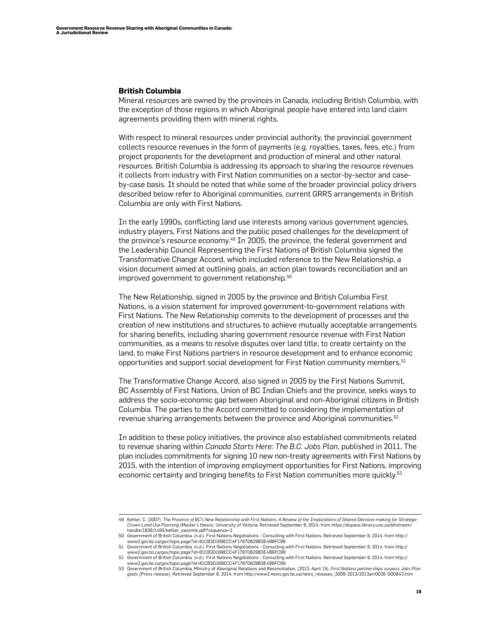#### **British Columbia**

Mineral resources are owned by the provinces in Canada, including British Columbia, with the exception of those regions in which Aboriginal people have entered into land claim agreements providing them with mineral rights.

With respect to mineral resources under provincial authority, the provincial government collects resource revenues in the form of payments (e.g. royalties, taxes, fees, etc.) from project proponents for the development and production of mineral and other natural resources. British Columbia is addressing its approach to sharing the resource revenues it collects from industry with First Nation communities on a sector-by-sector and caseby-case basis. It should be noted that while some of the broader provincial policy drivers described below refer to Aboriginal communities, current GRRS arrangements in British Columbia are only with First Nations.

In the early 1990s, conflicting land use interests among various government agencies, industry players, First Nations and the public posed challenges for the development of the province's resource economy.<sup>49</sup> In 2005, the province, the federal government and the Leadership Council Representing the First Nations of British Columbia signed the Transformative Change Accord, which included reference to the New Relationship, a vision document aimed at outlining goals, an action plan towards reconciliation and an improved government to government relationship.<sup>50</sup>

The New Relationship, signed in 2005 by the province and British Columbia First Nations, is a vision statement for improved government-to-government relations with First Nations. The New Relationship commits to the development of processes and the creation of new institutions and structures to achieve mutually acceptable arrangements for sharing benefits, including sharing government resource revenue with First Nation communities, as a means to resolve disputes over land title, to create certainty on the land, to make First Nations partners in resource development and to enhance economic opportunities and support social development for First Nation community members.<sup>51</sup>

The Transformative Change Accord, also signed in 2005 by the First Nations Summit, BC Assembly of First Nations, Union of BC Indian Chiefs and the province, seeks ways to address the socio-economic gap between Aboriginal and non-Aboriginal citizens in British Columbia. The parties to the Accord committed to considering the implementation of revenue sharing arrangements between the province and Aboriginal communities.<sup>52</sup>

In addition to these policy initiatives, the province also established commitments related to revenue sharing within *Canada Starts Here: The B.C. Jobs Plan*, published in 2011. The plan includes commitments for signing 10 new non-treaty agreements with First Nations by 2015, with the intention of improving employment opportunities for First Nations, improving economic certainty and bringing benefits to First Nation communities more quickly.<sup>53</sup>

<sup>49</sup> Kehler, C. (2007). *The Province of BC's New Relationship with First Nations: A Review of the Implications of Shared Decision-making for Strategic Crown Land Use Planning* (Master's thesis). University of Victoria. Retrieved September 8, 2014, from https://dspace.library.uvic.ca/bitstream/ handle/1828/1495/kehler\_caoimhe.pdf?sequence=1

<sup>50</sup> Government of British Columbia. (n.d.). First Nations Negotiations - Consulting with First Nations. Retrieved September 8, 2014, from http:// www2.gov.bc.ca/gov/topic.page?id=81CB3D169ECC4F1787D629B3E4B6FC99

<sup>51</sup> Government of British Columbia. (n.d.). First Nations Negotiations - Consulting with First Nations. Retrieved September 8, 2014, from http:// www2.gov.bc.ca/gov/topic.page?id=81CB3D169ECC4F1787D629B3E4B6FC99

<sup>52</sup> Government of British Columbia. (n.d.). First Nations Negotiations - Consulting with First Nations. Retrieved September 8, 2014, from http:// www2.gov.bc.ca/gov/topic.page?id=81CB3D169ECC4F1787D629B3E4B6FC99

<sup>53</sup> Government of British Columbia, Ministry of Aboriginal Relations and Reconciliation. (2013, April 15). *First Nations partnerships surpass Jobs Plan goals* [Press release]. Retrieved September 8, 2014, from http://www2.news.gov.bc.ca/news\_releases\_2009-2013/2013arr0026-000843.htm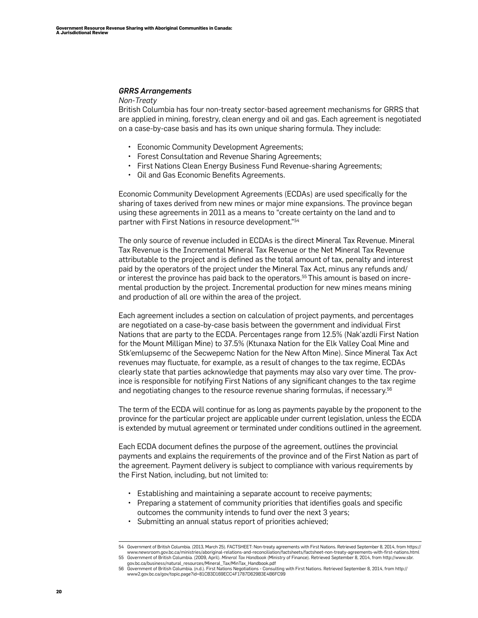#### *GRRS Arrangements*

*Non-Treaty*

British Columbia has four non-treaty sector-based agreement mechanisms for GRRS that are applied in mining, forestry, clean energy and oil and gas. Each agreement is negotiated on a case-by-case basis and has its own unique sharing formula. They include:

- • Economic Community Development Agreements;
- Forest Consultation and Revenue Sharing Agreements:
- First Nations Clean Energy Business Fund Revenue-sharing Agreements;
- • Oil and Gas Economic Benefits Agreements.

Economic Community Development Agreements (ECDAs) are used specifically for the sharing of taxes derived from new mines or major mine expansions. The province began using these agreements in 2011 as a means to "create certainty on the land and to partner with First Nations in resource development."54

The only source of revenue included in ECDAs is the direct Mineral Tax Revenue. Mineral Tax Revenue is the Incremental Mineral Tax Revenue or the Net Mineral Tax Revenue attributable to the project and is defined as the total amount of tax, penalty and interest paid by the operators of the project under the Mineral Tax Act, minus any refunds and/ or interest the province has paid back to the operators.55 This amount is based on incremental production by the project. Incremental production for new mines means mining and production of all ore within the area of the project.

Each agreement includes a section on calculation of project payments, and percentages are negotiated on a case-by-case basis between the government and individual First Nations that are party to the ECDA. Percentages range from 12.5% (Nak'azdli First Nation for the Mount Milligan Mine) to 37.5% (Ktunaxa Nation for the Elk Valley Coal Mine and Stk'emlupsemc of the Secwepemc Nation for the New Afton Mine). Since Mineral Tax Act revenues may fluctuate, for example, as a result of changes to the tax regime, ECDAs clearly state that parties acknowledge that payments may also vary over time. The province is responsible for notifying First Nations of any significant changes to the tax regime and negotiating changes to the resource revenue sharing formulas, if necessary.<sup>56</sup>

The term of the ECDA will continue for as long as payments payable by the proponent to the province for the particular project are applicable under current legislation, unless the ECDA is extended by mutual agreement or terminated under conditions outlined in the agreement.

Each ECDA document defines the purpose of the agreement, outlines the provincial payments and explains the requirements of the province and of the First Nation as part of the agreement. Payment delivery is subject to compliance with various requirements by the First Nation, including, but not limited to:

- Establishing and maintaining a separate account to receive payments;
- Preparing a statement of community priorities that identifies goals and specific outcomes the community intends to fund over the next 3 years;
- Submitting an annual status report of priorities achieved;

<sup>54</sup> Government of British Columbia. (2013, March 25). FACTSHEET: Non-treaty agreements with First Nations. Retrieved September 8, 2014, from https:// www.newsroom.gov.bc.ca/ministries/aboriginal-relations-and-reconciliation/factsheets/factsheet-non-treaty-agreements-with-first-nations.html

<sup>55</sup> Government of British Columbia. (2009, April). *Mineral Tax Handbook* (Ministry of Finance). Retrieved September 8, 2014, from http://www.sbr. gov.bc.ca/business/natural\_resources/Mineral\_Tax/MinTax\_Handbook.pdf

<sup>56</sup> Government of British Columbia. (n.d.). First Nations Negotiations - Consulting with First Nations. Retrieved September 8, 2014, from http:// www2.gov.bc.ca/gov/topic.page?id=81CB3D169ECC4F1787D629B3E4B6FC99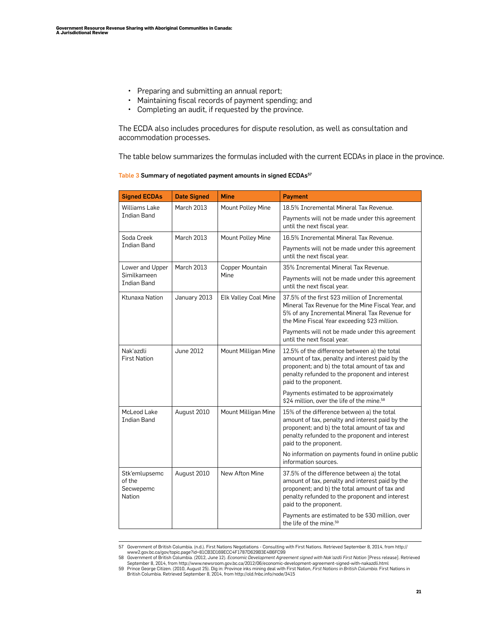- • Preparing and submitting an annual report;
- • Maintaining fiscal records of payment spending; and
- • Completing an audit, if requested by the province.

The ECDA also includes procedures for dispute resolution, as well as consultation and accommodation processes.

The table below summarizes the formulas included with the current ECDAs in place in the province.

Table 3 Summary of negotiated payment amounts in signed ECDAs<sup>57</sup>

| <b>Signed ECDAs</b>                                  | <b>Date Signed</b> | <b>Mine</b>             | <b>Payment</b>                                                                                                                                                                                                               |
|------------------------------------------------------|--------------------|-------------------------|------------------------------------------------------------------------------------------------------------------------------------------------------------------------------------------------------------------------------|
| Williams Lake                                        | March 2013         | Mount Polley Mine       | 18.5% Incremental Mineral Tax Revenue.                                                                                                                                                                                       |
| <b>Indian Band</b>                                   |                    |                         | Payments will not be made under this agreement<br>until the next fiscal year.                                                                                                                                                |
| Soda Creek                                           | March 2013         | Mount Polley Mine       | 16.5% Incremental Mineral Tax Revenue.                                                                                                                                                                                       |
| <b>Indian Band</b>                                   |                    |                         | Payments will not be made under this agreement<br>until the next fiscal year.                                                                                                                                                |
| Lower and Upper<br>Similkameen<br><b>Indian Band</b> | <b>March 2013</b>  | Copper Mountain<br>Mine | 35% Incremental Mineral Tax Revenue.                                                                                                                                                                                         |
|                                                      |                    |                         | Payments will not be made under this agreement<br>until the next fiscal year.                                                                                                                                                |
| Ktunaxa Nation                                       | January 2013       | Elk Valley Coal Mine    | 37.5% of the first \$23 million of Incremental<br>Mineral Tax Revenue for the Mine Fiscal Year, and<br>5% of any Incremental Mineral Tax Revenue for<br>the Mine Fiscal Year exceeding \$23 million.                         |
|                                                      |                    |                         | Payments will not be made under this agreement<br>until the next fiscal year.                                                                                                                                                |
| Nak'azdli<br><b>First Nation</b>                     | June 2012          | Mount Milligan Mine     | 12.5% of the difference between a) the total<br>amount of tax, penalty and interest paid by the<br>proponent; and b) the total amount of tax and<br>penalty refunded to the proponent and interest<br>paid to the proponent. |
|                                                      |                    |                         | Payments estimated to be approximately<br>\$24 million, over the life of the mine. <sup>58</sup>                                                                                                                             |
| McLeod Lake<br><b>Indian Band</b>                    | August 2010        | Mount Milligan Mine     | 15% of the difference between a) the total<br>amount of tax, penalty and interest paid by the<br>proponent; and b) the total amount of tax and<br>penalty refunded to the proponent and interest<br>paid to the proponent.   |
|                                                      |                    |                         | No information on payments found in online public<br>information sources.                                                                                                                                                    |
| Stk'emlupsemc<br>of the<br>Secwepemc<br>Nation       | August 2010        | New Afton Mine          | 37.5% of the difference between a) the total<br>amount of tax, penalty and interest paid by the<br>proponent; and b) the total amount of tax and<br>penalty refunded to the proponent and interest<br>paid to the proponent. |
|                                                      |                    |                         | Payments are estimated to be \$30 million, over<br>the life of the mine. <sup>59</sup>                                                                                                                                       |

<sup>57</sup> Government of British Columbia. (n.d.). First Nations Negotiations - Consulting with First Nations. Retrieved September 8, 2014, from http:// www2.gov.bc.ca/gov/topic.page?id=81CB3D169ECC4F1787D629B3E4B6FC99

<sup>58</sup> Government of British Columbia. (2012, June 12)*. Economic Development Agreement signed with Nak'azdli First Nation* [Press release]. Retrieved<br>19 September 8, 2014, from http://www.newsroom.gov.bc.ca/2012/06/econom

British Columbia. Retrieved September 8, 2014, from http://old.fnbc.info/node/3415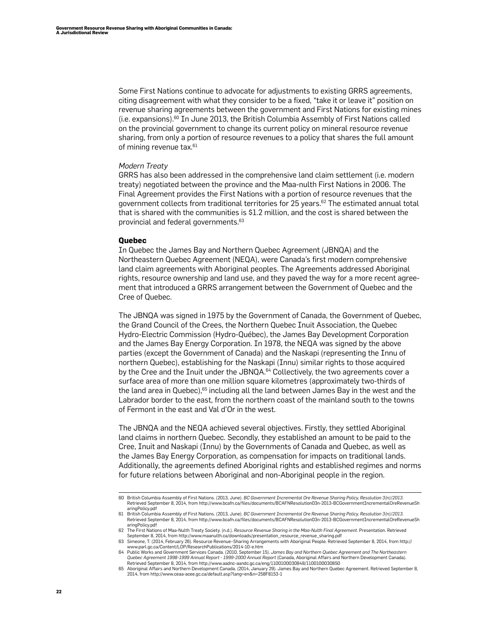Some First Nations continue to advocate for adjustments to existing GRRS agreements, citing disagreement with what they consider to be a fixed, "take it or leave it" position on revenue sharing agreements between the government and First Nations for existing mines  $(i.e.$  expansions).<sup>60</sup> In June 2013, the British Columbia Assembly of First Nations called on the provincial government to change its current policy on mineral resource revenue sharing, from only a portion of resource revenues to a policy that shares the full amount of mining revenue tax.<sup>61</sup>

#### *Modern Treaty*

GRRS has also been addressed in the comprehensive land claim settlement (i.e. modern treaty) negotiated between the province and the Maa-nulth First Nations in 2006. The Final Agreement provides the First Nations with a portion of resource revenues that the government collects from traditional territories for 25 years. $62$  The estimated annual total that is shared with the communities is \$1.2 million, and the cost is shared between the provincial and federal governments.63

#### **Quebec**

In Quebec the James Bay and Northern Quebec Agreement (JBNQA) and the Northeastern Quebec Agreement (NEQA), were Canada's first modern comprehensive land claim agreements with Aboriginal peoples. The Agreements addressed Aboriginal rights, resource ownership and land use, and they paved the way for a more recent agreement that introduced a GRRS arrangement between the Government of Quebec and the Cree of Quebec.

The JBNQA was signed in 1975 by the Government of Canada, the Government of Quebec, the Grand Council of the Crees, the Northern Quebec Inuit Association, the Quebec Hydro-Electric Commission (Hydro-Québec), the James Bay Development Corporation and the James Bay Energy Corporation. In 1978, the NEQA was signed by the above parties (except the Government of Canada) and the Naskapi (representing the Innu of northern Quebec), establishing for the Naskapi (Innu) similar rights to those acquired by the Cree and the Inuit under the JBNQA.<sup>64</sup> Collectively, the two agreements cover a surface area of more than one million square kilometres (approximately two-thirds of the land area in Quebec),<sup>65</sup> including all the land between James Bay in the west and the Labrador border to the east, from the northern coast of the mainland south to the towns of Fermont in the east and Val d'Or in the west.

The JBNQA and the NEQA achieved several objectives. Firstly, they settled Aboriginal land claims in northern Quebec. Secondly, they established an amount to be paid to the Cree, Inuit and Naskapi (Innu) by the Governments of Canada and Quebec, as well as the James Bay Energy Corporation, as compensation for impacts on traditional lands. Additionally, the agreements defined Aboriginal rights and established regimes and norms for future relations between Aboriginal and non-Aboriginal people in the region.

<sup>60</sup> British Columbia Assembly of First Nations. (2013, June). *BC Government Incremental Ore Revenue Sharing Policy, Resolution 3(n)/2013*. Retrieved September 8, 2014, from http://www.bcafn.ca/files/documents/BCAFNResolution03n-2013-BCGovernmentIncrementalOreRevenueSh aringPolicy.pdf

<sup>61</sup> British Columbia Assembly of First Nations. (2013, June). *BC Government Incremental Ore Revenue Sharing Policy, Resolution 3(n)/2013*. Retrieved September 8, 2014, from http://www.bcafn.ca/files/documents/BCAFNResolution03n-2013-BCGovernmentIncrementalOreRevenueSh aringPolicy.pdf

<sup>62</sup> The First Nations of Maa-Nulth Treaty Society. (n.d.). *Resource Revenue Sharing in the Maa-Nulth Final Agreement*. Presentation. Retrieved September 8, 2014, from http://www.maanulth.ca/downloads/presentation\_resource\_revenue\_sharing.pdf

<sup>63</sup> Simeone, T. (2014, February 26). Resource Revenue–Sharing Arrangements with Aboriginal People. Retrieved September 8, 2014, from http:// www.parl.gc.ca/Content/LOP/ResearchPublications/2014-10-e.htm

<sup>64</sup> Public Works and Government Services Canada. (2010, September 15). *James Bay and Northern Quebec Agreement and The Northeastern Quebec Agreement 1998-1999 Annual Report - 1999-2000 Annual Report (Canada, Aboriginal Affairs and Northern Development Canada).*<br>Retrieved September 8, 2014, from http://www.aadnc-aandc.gc.ca/eng/1100100030848/1100100030

<sup>65</sup> Aboriginal Affairs and Northern Development Canada. (2014, January 29). James Bay and Northern Quebec Agreement. Retrieved September 8, 2014, from http://www.ceaa-acee.gc.ca/default.asp?lang=en&n=258F8153-1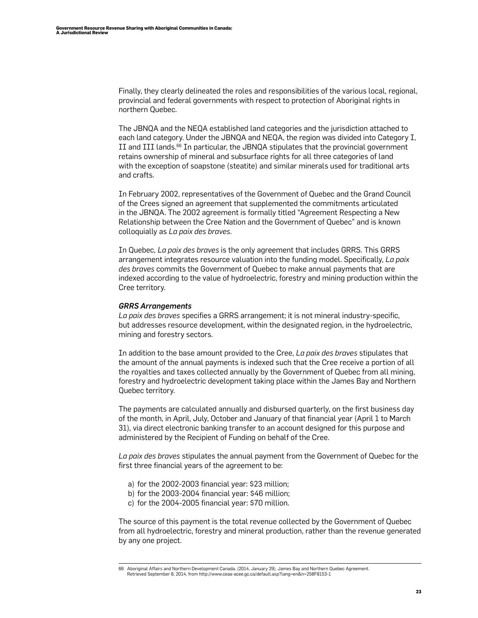Finally, they clearly delineated the roles and responsibilities of the various local, regional, provincial and federal governments with respect to protection of Aboriginal rights in northern Quebec.

The JBNQA and the NEQA established land categories and the jurisdiction attached to each land category. Under the JBNQA and NEQA, the region was divided into Category I, II and III lands.66 In particular, the JBNQA stipulates that the provincial government retains ownership of mineral and subsurface rights for all three categories of land with the exception of soapstone (steatite) and similar minerals used for traditional arts and crafts.

In February 2002, representatives of the Government of Quebec and the Grand Council of the Crees signed an agreement that supplemented the commitments articulated in the JBNQA. The 2002 agreement is formally titled "Agreement Respecting a New Relationship between the Cree Nation and the Government of Quebec" and is known colloquially as *La paix des braves*.

In Quebec, *La paix des braves* is the only agreement that includes GRRS. This GRRS arrangement integrates resource valuation into the funding model. Specifically, *La paix des braves* commits the Government of Quebec to make annual payments that are indexed according to the value of hydroelectric, forestry and mining production within the Cree territory.

## *GRRS Arrangements*

*La paix des braves* specifies a GRRS arrangement; it is not mineral industry-specific, but addresses resource development, within the designated region, in the hydroelectric, mining and forestry sectors.

In addition to the base amount provided to the Cree, *La paix des braves* stipulates that the amount of the annual payments is indexed such that the Cree receive a portion of all the royalties and taxes collected annually by the Government of Quebec from all mining, forestry and hydroelectric development taking place within the James Bay and Northern Quebec territory.

The payments are calculated annually and disbursed quarterly, on the first business day of the month, in April, July, October and January of that financial year (April 1 to March 31), via direct electronic banking transfer to an account designed for this purpose and administered by the Recipient of Funding on behalf of the Cree.

*La paix des braves* stipulates the annual payment from the Government of Quebec for the first three financial years of the agreement to be:

- a) for the 2002-2003 financial year: \$23 million;
- b) for the 2003-2004 financial year: \$46 million;
- c) for the 2004-2005 financial year: \$70 million.

The source of this payment is the total revenue collected by the Government of Quebec from all hydroelectric, forestry and mineral production, rather than the revenue generated by any one project.

<sup>66</sup> Aboriginal Affairs and Northern Development Canada. (2014, January 29). James Bay and Northern Quebec Agreement. Retrieved September 8, 2014, from http://www.ceaa-acee.gc.ca/default.asp?lang=en&n=258F8153-1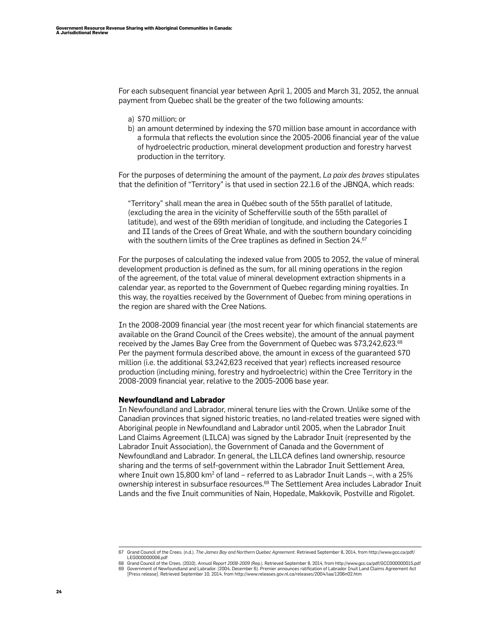For each subsequent financial year between April 1, 2005 and March 31, 2052, the annual payment from Quebec shall be the greater of the two following amounts:

- a) \$70 million; or
- b) an amount determined by indexing the \$70 million base amount in accordance with a formula that reflects the evolution since the 2005-2006 financial year of the value of hydroelectric production, mineral development production and forestry harvest production in the territory.

For the purposes of determining the amount of the payment, *La paix des braves* stipulates that the definition of "Territory" is that used in section 22.1.6 of the JBNQA, which reads:

"Territory" shall mean the area in Québec south of the 55th parallel of latitude, (excluding the area in the vicinity of Schefferville south of the 55th parallel of latitude), and west of the 69th meridian of longitude, and including the Categories I and II lands of the Crees of Great Whale, and with the southern boundary coinciding with the southern limits of the Cree traplines as defined in Section 24.<sup>67</sup>

For the purposes of calculating the indexed value from 2005 to 2052, the value of mineral development production is defined as the sum, for all mining operations in the region of the agreement, of the total value of mineral development extraction shipments in a calendar year, as reported to the Government of Quebec regarding mining royalties. In this way, the royalties received by the Government of Quebec from mining operations in the region are shared with the Cree Nations.

In the 2008-2009 financial year (the most recent year for which financial statements are available on the Grand Council of the Crees website), the amount of the annual payment received by the James Bay Cree from the Government of Quebec was \$73,242,623.68 Per the payment formula described above, the amount in excess of the guaranteed \$70 million (i.e. the additional \$3,242,623 received that year) reflects increased resource production (including mining, forestry and hydroelectric) within the Cree Territory in the 2008-2009 financial year, relative to the 2005-2006 base year.

#### **Newfoundland and Labrador**

In Newfoundland and Labrador, mineral tenure lies with the Crown. Unlike some of the Canadian provinces that signed historic treaties, no land-related treaties were signed with Aboriginal people in Newfoundland and Labrador until 2005, when the Labrador Inuit Land Claims Agreement (LILCA) was signed by the Labrador Inuit (represented by the Labrador Inuit Association), the Government of Canada and the Government of Newfoundland and Labrador. In general, the LILCA defines land ownership, resource sharing and the terms of self-government within the Labrador Inuit Settlement Area, where Inuit own 15,800 km $^2$  of land – referred to as Labrador Inuit Lands –, with a 25%  $\,$ ownership interest in subsurface resources.69 The Settlement Area includes Labrador Inuit Lands and the five Inuit communities of Nain, Hopedale, Makkovik, Postville and Rigolet.

<sup>67</sup> Grand Council of the Crees. (n.d.). *The James Bay and Northern Quebec Agreement*. Retrieved September 8, 2014, from http://www.gcc.ca/pdf/ LEG000000006.pdf

<sup>68</sup> Grand Council of the Crees. (2010). *Annual Report 2008-2009* (Rep.). Retrieved September 8, 2014, from http://www.gcc.ca/pdf/GCC000000015.pdf 69 Government of Newfoundland and Labrador. (2004, December 6). Premier announces ratification of Labrador Inuit Land Claims Agreement Act [Press release]. Retrieved September 10, 2014, from http://www.releases.gov.nl.ca/releases/2004/laa/1206n02.htm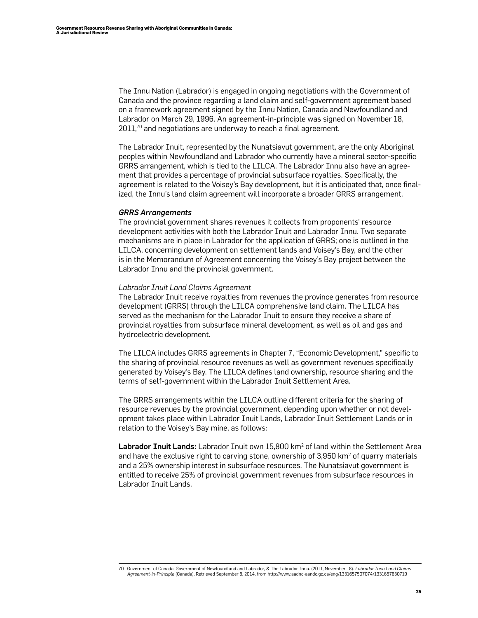The Innu Nation (Labrador) is engaged in ongoing negotiations with the Government of Canada and the province regarding a land claim and self-government agreement based on a framework agreement signed by the Innu Nation, Canada and Newfoundland and Labrador on March 29, 1996. An agreement-in-principle was signed on November 18,  $2011$ ,<sup>70</sup> and negotiations are underway to reach a final agreement.

The Labrador Inuit, represented by the Nunatsiavut government, are the only Aboriginal peoples within Newfoundland and Labrador who currently have a mineral sector-specific GRRS arrangement, which is tied to the LILCA. The Labrador Innu also have an agreement that provides a percentage of provincial subsurface royalties. Specifically, the agreement is related to the Voisey's Bay development, but it is anticipated that, once finalized, the Innu's land claim agreement will incorporate a broader GRRS arrangement.

## *GRRS Arrangements*

The provincial government shares revenues it collects from proponents' resource development activities with both the Labrador Inuit and Labrador Innu. Two separate mechanisms are in place in Labrador for the application of GRRS; one is outlined in the LILCA, concerning development on settlement lands and Voisey's Bay, and the other is in the Memorandum of Agreement concerning the Voisey's Bay project between the Labrador Innu and the provincial government.

## *Labrador Inuit Land Claims Agreement*

The Labrador Inuit receive royalties from revenues the province generates from resource development (GRRS) through the LILCA comprehensive land claim. The LILCA has served as the mechanism for the Labrador Inuit to ensure they receive a share of provincial royalties from subsurface mineral development, as well as oil and gas and hydroelectric development.

The LILCA includes GRRS agreements in Chapter 7, "Economic Development," specific to the sharing of provincial resource revenues as well as government revenues specifically generated by Voisey's Bay. The LILCA defines land ownership, resource sharing and the terms of self-government within the Labrador Inuit Settlement Area.

The GRRS arrangements within the LILCA outline different criteria for the sharing of resource revenues by the provincial government, depending upon whether or not development takes place within Labrador Inuit Lands, Labrador Inuit Settlement Lands or in relation to the Voisey's Bay mine, as follows:

Labrador Inuit Lands: Labrador Inuit own 15,800 km<sup>2</sup> of land within the Settlement Area and have the exclusive right to carving stone, ownership of 3,950 km<sup>2</sup> of quarry materials and a 25% ownership interest in subsurface resources. The Nunatsiavut government is entitled to receive 25% of provincial government revenues from subsurface resources in Labrador Inuit Lands.

<sup>70</sup> Government of Canada, Government of Newfoundland and Labrador, & The Labrador Innu. (2011, November 18). *Labrador Innu Land Claims Agreement-in-Principle* (Canada). Retrieved September 8, 2014, from http://www.aadnc-aandc.gc.ca/eng/1331657507074/1331657630719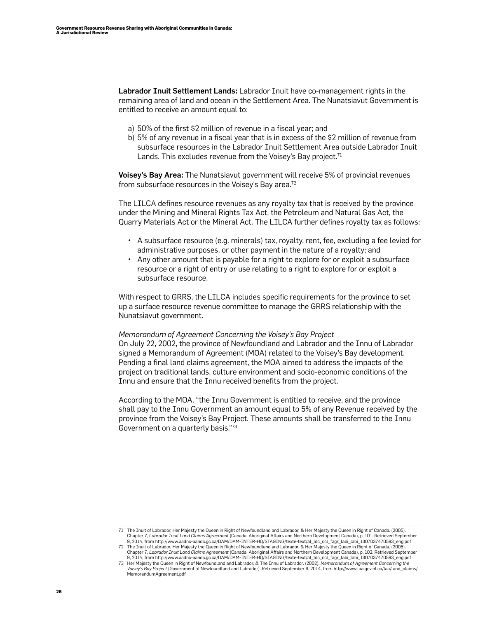Labrador Inuit Settlement Lands: Labrador Inuit have co-management rights in the remaining area of land and ocean in the Settlement Area. The Nunatsiavut Government is entitled to receive an amount equal to:

- a) 50% of the first \$2 million of revenue in a fiscal year; and
- b) 5% of any revenue in a fiscal year that is in excess of the \$2 million of revenue from subsurface resources in the Labrador Inuit Settlement Area outside Labrador Inuit Lands. This excludes revenue from the Voisey's Bay project.<sup>71</sup>

Voisey's Bay Area: The Nunatsiavut government will receive 5% of provincial revenues from subsurface resources in the Voisey's Bay area.<sup>72</sup>

The LILCA defines resource revenues as any royalty tax that is received by the province under the Mining and Mineral Rights Tax Act, the Petroleum and Natural Gas Act, the Quarry Materials Act or the Mineral Act. The LILCA further defines royalty tax as follows:

- • A subsurface resource (e.g. minerals) tax, royalty, rent, fee, excluding a fee levied for administrative purposes, or other payment in the nature of a royalty; and
- Any other amount that is payable for a right to explore for or exploit a subsurface resource or a right of entry or use relating to a right to explore for or exploit a subsurface resource.

With respect to GRRS, the LILCA includes specific requirements for the province to set up a surface resource revenue committee to manage the GRRS relationship with the Nunatsiavut government.

## *Memorandum of Agreement Concerning the Voisey's Bay Project*

On July 22, 2002, the province of Newfoundland and Labrador and the Innu of Labrador signed a Memorandum of Agreement (MOA) related to the Voisey's Bay development. Pending a final land claims agreement, the MOA aimed to address the impacts of the project on traditional lands, culture environment and socio-economic conditions of the Innu and ensure that the Innu received benefits from the project.

According to the MOA, "the Innu Government is entitled to receive, and the province shall pay to the Innu Government an amount equal to 5% of any Revenue received by the province from the Voisey's Bay Project. These amounts shall be transferred to the Innu Government on a quarterly basis."73

<sup>71</sup> The Inuit of Labrador, Her Majesty the Queen in Right of Newfoundland and Labrador, & Her Majesty the Queen in Right of Canada. (2005). Chapter 7, *Labrador Inuit Land Claims Agreement* (Canada, Aboriginal Affairs and Northern Development Canada), p. 101. Retrieved September 9, 2014, from http://www.aadnc-aandc.gc.ca/DAM/DAM-INTER-HQ/STAGING/texte-text/al\_ldc\_ccl\_fagr\_labi\_labi\_1307037470583\_eng.pdf 72 The Inuit of Labrador, Her Majesty the Queen in Right of Newfoundland and Labrador, & Her Majesty the Queen in Right of Canada. (2005).

Chapter 7, *Labrador Inuit Land Claims Agreement* (Canada, Aboriginal Affairs and Northern Development Canada), p. 102. Retrieved September 9, 2014, from http://www.aadnc-aandc.gc.ca/DAM/DAM-INTER-HQ/STAGING/texte-text/al\_ldc\_ccl\_fagr\_labi\_labi\_1307037470583\_eng.pdf 73 Her Majesty the Queen in Right of Newfoundland and Labrador, & The Innu of Labrador. (2002). *Memorandum of Agreement Concerning the* 

*Voisey's Bay Project* (Government of Newfoundland and Labrador). Retrieved September 9, 2014, from http://www.laa.gov.nl.ca/laa/land\_claims/ MemorandumAgreement.pdf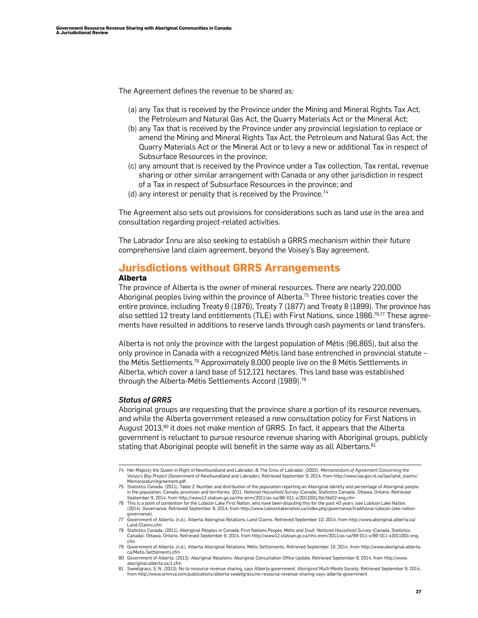The Agreement defines the revenue to be shared as:

- (a) any Tax that is received by the Province under the Mining and Mineral Rights Tax Act, the Petroleum and Natural Gas Act, the Quarry Materials Act or the Mineral Act;
- (b) any Tax that is received by the Province under any provincial legislation to replace or amend the Mining and Mineral Rights Tax Act, the Petroleum and Natural Gas Act, the Quarry Materials Act or the Mineral Act or to levy a new or additional Tax in respect of Subsurface Resources in the province;
- (c) any amount that is received by the Province under a Tax collection, Tax rental, revenue sharing or other similar arrangement with Canada or any other jurisdiction in respect of a Tax in respect of Subsurface Resources in the province; and
- (d) any interest or penalty that is received by the Province.<sup>74</sup>

The Agreement also sets out provisions for considerations such as land use in the area and consultation regarding project-related activities.

The Labrador Innu are also seeking to establish a GRRS mechanism within their future comprehensive land claim agreement, beyond the Voisey's Bay agreement.

## **Jurisdictions without GRRS Arrangements**

### **Alberta**

The province of Alberta is the owner of mineral resources. There are nearly 220,000 Aboriginal peoples living within the province of Alberta.75 Three historic treaties cover the entire province, including Treaty 6 (1876), Treaty 7 (1877) and Treaty 8 (1899). The province has also settled 12 treaty land entitlements (TLE) with First Nations, since 1986.76,77 These agreements have resulted in additions to reserve lands through cash payments or land transfers.

Alberta is not only the province with the largest population of Métis (96,865), but also the only province in Canada with a recognized Métis land base entrenched in provincial statute – the Métis Settlements.78 Approximately 8,000 people live on the 8 Métis Settlements in Alberta, which cover a land base of 512,121 hectares. This land base was established through the Alberta-Métis Settlements Accord (1989).<sup>79</sup>

#### *Status of GRRS*

Aboriginal groups are requesting that the province share a portion of its resource revenues, and while the Alberta government released a new consultation policy for First Nations in August 2013,<sup>80</sup> it does not make mention of GRRS. In fact, it appears that the Alberta government is reluctant to pursue resource revenue sharing with Aboriginal groups, publicly stating that Aboriginal people will benefit in the same way as all Albertans.<sup>81</sup>

<sup>74</sup> Her Majesty the Queen in Right of Newfoundland and Labrador, & The Innu of Labrador. (2002). *Memorandum of Agreement Concerning the Voisey's Bay Project* (Government of Newfoundland and Labrador). Retrieved September 9, 2014, from http://www.laa.gov.nl.ca/laa/land\_claims/ MemorandumAgreement.pdf

<sup>75</sup> Statistics Canada. (2011). Table 2: Number and distribution of the population reporting an Aboriginal identity and percentage of Aboriginal people in the population, Canada, provinces and territories, 2011. *National Household Survey* (Canada, Statistics Canada). Ottawa, Ontario. Retrieved September 9, 2014, from http://www12.statcan.gc.ca/nhs-enm/2011/as-sa/99-011-x/2011001/tbl/tbl02-eng.cfm

<sup>76</sup> This is a point of contention for the Lubicon Lake First Nation, who have been disputing this for the past 40 years (see Lubicon Lake Nation. (2014). Governance. Retrieved September 9, 2014, from http://www.lubiconlakenation.ca/index.php/governance/traditional-lubicon-lake-nationgovernance).

<sup>77</sup> Government of Alberta. (n.d.). Alberta Aboriginal Relations: Land Claims. Retrieved September 10, 2014, from http://www.aboriginal.alberta.ca/ Land-Claims.cfm

<sup>78</sup> Statistics Canada. (2011). Aboriginal Peoples in Canada: First Nations People, Métis and Inuit. *National Household Survey* (Canada, Statistics Canada). Ottawa, Ontario. Retrieved September 9, 2014, from http://www12.statcan.gc.ca/nhs-enm/2011/as-sa/99-011-x/99-011-x2011001-eng. cfm

<sup>79</sup> Government of Alberta. (n.d.). Alberta Aboriginal Relations: Métis Settlements. Retrieved September 10, 2014, from http://www.aboriginal.alberta. ca/Metis-Settlements.cfm

<sup>80</sup> Government of Alberta. (2013). Aboriginal Relations: Aboriginal Consultation Office Update. Retrieved September 9, 2014, from http://www. aboriginal.alberta.ca/1.cfm

<sup>81</sup> Sweetgrass, S. N. (2013). No to resource revenue sharing, says Alberta government. *Aboriginal Multi-Media Society*. Retrieved September 9, 2014, from http://www.ammsa.com/publications/alberta-sweetgrass/no-resource-revenue-sharing-says-alberta-government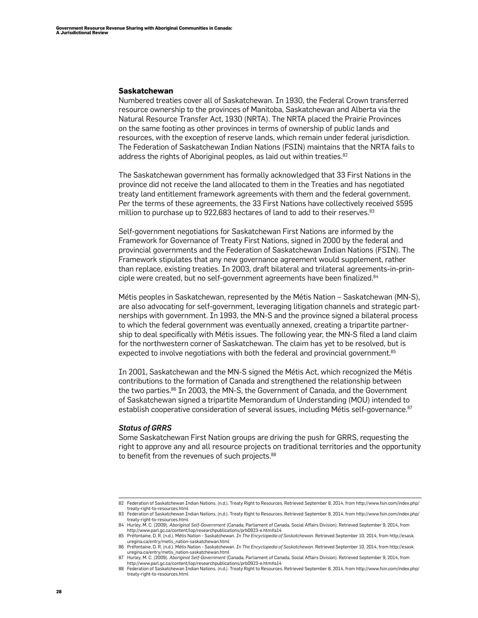#### **Saskatchewan**

Numbered treaties cover all of Saskatchewan. In 1930, the Federal Crown transferred resource ownership to the provinces of Manitoba, Saskatchewan and Alberta via the Natural Resource Transfer Act, 1930 (NRTA). The NRTA placed the Prairie Provinces on the same footing as other provinces in terms of ownership of public lands and resources, with the exception of reserve lands, which remain under federal jurisdiction. The Federation of Saskatchewan Indian Nations (FSIN) maintains that the NRTA fails to address the rights of Aboriginal peoples, as laid out within treaties.<sup>82</sup>

The Saskatchewan government has formally acknowledged that 33 First Nations in the province did not receive the land allocated to them in the Treaties and has negotiated treaty land entitlement framework agreements with them and the federal government. Per the terms of these agreements, the 33 First Nations have collectively received \$595 million to purchase up to 922,683 hectares of land to add to their reserves.<sup>83</sup>

Self-government negotiations for Saskatchewan First Nations are informed by the Framework for Governance of Treaty First Nations, signed in 2000 by the federal and provincial governments and the Federation of Saskatchewan Indian Nations (FSIN). The Framework stipulates that any new governance agreement would supplement, rather than replace, existing treaties. In 2003, draft bilateral and trilateral agreements-in-principle were created, but no self-government agreements have been finalized.<sup>84</sup>

Métis peoples in Saskatchewan, represented by the Métis Nation – Saskatchewan (MN-S), are also advocating for self-government, leveraging litigation channels and strategic partnerships with government. In 1993, the MN-S and the province signed a bilateral process to which the federal government was eventually annexed, creating a tripartite partnership to deal specifically with Métis issues. The following year, the MN-S filed a land claim for the northwestern corner of Saskatchewan. The claim has yet to be resolved, but is expected to involve negotiations with both the federal and provincial government.<sup>85</sup>

In 2001, Saskatchewan and the MN-S signed the Métis Act, which recognized the Métis contributions to the formation of Canada and strengthened the relationship between the two parties.<sup>86</sup> In 2003, the MN-S, the Government of Canada, and the Government of Saskatchewan signed a tripartite Memorandum of Understanding (MOU) intended to establish cooperative consideration of several issues, including Métis self-governance.<sup>87</sup>

#### *Status of GRRS*

Some Saskatchewan First Nation groups are driving the push for GRRS, requesting the right to approve any and all resource projects on traditional territories and the opportunity to benefit from the revenues of such projects.<sup>88</sup>

<sup>82</sup> Federation of Saskatchewan Indian Nations. (n.d.). Treaty Right to Resources. Retrieved September 8, 2014, from http://www.fsin.com/index.php/ treaty-right-to-resources.html 83 Federation of Saskatchewan Indian Nations. (n.d.). Treaty Right to Resources. Retrieved September 8, 2014, from http://www.fsin.com/index.php/

treaty-right-to-resources.html 84 Hurley, M. C. (2009). *Aboriginal Self-Government* (Canada, Parliament of Canada, Social Affairs Division). Retrieved September 9, 2014, from

http://www.parl.gc.ca/content/lop/researchpublications/prb0923-e.htm#a14 85 Préfontaine, D. R. (n.d.). Métis Nation - Saskatchewan. *In The Encyclopedia of Saskatchewan*. Retrieved September 10, 2014, from http://esask.

uregina.ca/entry/metis\_nation-saskatchewan.html 86 Préfontaine, D. R. (n.d.). Métis Nation - Saskatchewan. *In The Encyclopedia of Saskatchewan*. Retrieved September 10, 2014, from http://esask. uregina.ca/entry/metis\_nation-saskatchewan.html

<sup>87</sup> Hurley, M. C. (2009). *Aboriginal Self-Government* (Canada, Parliament of Canada, Social Affairs Division). Retrieved September 9, 2014, from http://www.parl.gc.ca/content/lop/researchpublications/prb0923-e.htm#a14

<sup>88</sup> Federation of Saskatchewan Indian Nations. (n.d.). Treaty Right to Resources. Retrieved September 8, 2014, from http://www.fsin.com/index.php/ treaty-right-to-resources.html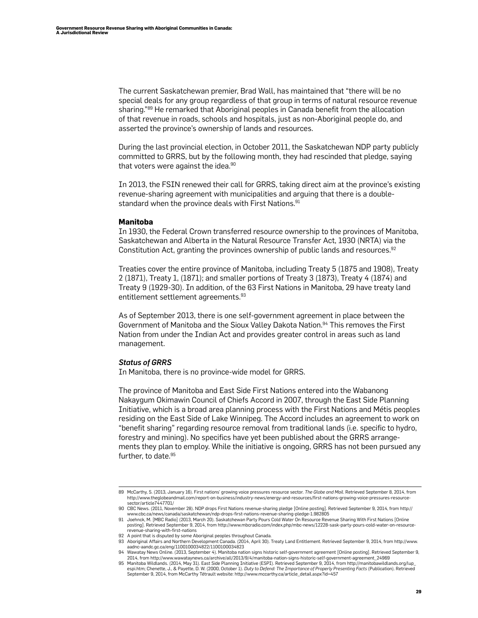The current Saskatchewan premier, Brad Wall, has maintained that "there will be no special deals for any group regardless of that group in terms of natural resource revenue sharing."89 He remarked that Aboriginal peoples in Canada benefit from the allocation of that revenue in roads, schools and hospitals, just as non-Aboriginal people do, and asserted the province's ownership of lands and resources.

During the last provincial election, in October 2011, the Saskatchewan NDP party publicly committed to GRRS, but by the following month, they had rescinded that pledge, saying that voters were against the idea.<sup>90</sup>

In 2013, the FSIN renewed their call for GRRS, taking direct aim at the province's existing revenue-sharing agreement with municipalities and arguing that there is a doublestandard when the province deals with First Nations.<sup>91</sup>

#### **Manitoba**

In 1930, the Federal Crown transferred resource ownership to the provinces of Manitoba, Saskatchewan and Alberta in the Natural Resource Transfer Act, 1930 (NRTA) via the Constitution Act, granting the provinces ownership of public lands and resources.<sup>92</sup>

Treaties cover the entire province of Manitoba, including Treaty 5 (1875 and 1908), Treaty 2 (1871), Treaty 1, (1871); and smaller portions of Treaty 3 (1873), Treaty 4 (1874) and Treaty 9 (1929-30). In addition, of the 63 First Nations in Manitoba, 29 have treaty land entitlement settlement agreements.93

As of September 2013, there is one self-government agreement in place between the Government of Manitoba and the Sioux Valley Dakota Nation.<sup>94</sup> This removes the First Nation from under the Indian Act and provides greater control in areas such as land management.

#### *Status of GRRS*

In Manitoba, there is no province-wide model for GRRS.

The province of Manitoba and East Side First Nations entered into the Wabanong Nakaygum Okimawin Council of Chiefs Accord in 2007, through the East Side Planning Initiative, which is a broad area planning process with the First Nations and Métis peoples residing on the East Side of Lake Winnipeg. The Accord includes an agreement to work on "benefit sharing" regarding resource removal from traditional lands (i.e. specific to hydro, forestry and mining). No specifics have yet been published about the GRRS arrangements they plan to employ. While the initiative is ongoing, GRRS has not been pursued any further, to date. 95

<sup>89</sup> McCarthy, S. (2013, January 16). First nations' growing voice pressures resource sector. *The Globe and Mail*. Retrieved September 8, 2014, from http://www.theglobeandmail.com/report-on-business/industry-news/energy-and-resources/first-nations-growing-voice-pressures-resourcesector/article7447701/

<sup>90</sup> CBC News. (2011, November 28). NDP drops First Nations revenue-sharing pledge [Online posting]. Retrieved September 9, 2014, from http:// www.cbc.ca/news/canada/saskatchewan/ndp-drops-first-nations-revenue-sharing-pledge-1.982805

<sup>91</sup> Joehnck, M. [MBC Radio] (2013, March 20). Saskatchewan Party Pours Cold Water On Resource Revenue Sharing With First Nations [Online posting]. Retrieved September 9, 2014, from http://www.mbcradio.com/index.php/mbc-news/12228-sask-party-pours-cold-water-on-resourcerevenue-sharing-with-first-nations

<sup>92</sup> A point that is disputed by some Aboriginal peoples throughout Canada.

<sup>93</sup> Aboriginal Affairs and Northern Development Canada. (2014, April 30). Treaty Land Entitlement. Retrieved September 9, 2014, from http://www. aadnc-aandc.gc.ca/eng/1100100034822/1100100034823

<sup>94</sup> Wawatay News Online. (2013, September 4). Manitoba nation signs historic self-government agreement [Online posting]. Retrieved September 9, 2014, from http://www.wawataynews.ca/archive/all/2013/9/4/manitoba-nation-signs-historic-self-government-agreement\_24969<br>-95 Manitoba Wildlands. (2014, May 31). East Side Planning Initiative (ESPI). Retrieved September 9,

espi.htm; Chenette, J., & Payette, D. W. (2000, October 1). *Duty to Defend: The Importance of Properly Presenting Facts* (Publication). Retrieved September 9, 2014, from McCarthy Tétrault website: http://www.mccarthy.ca/article\_detail.aspx?id=457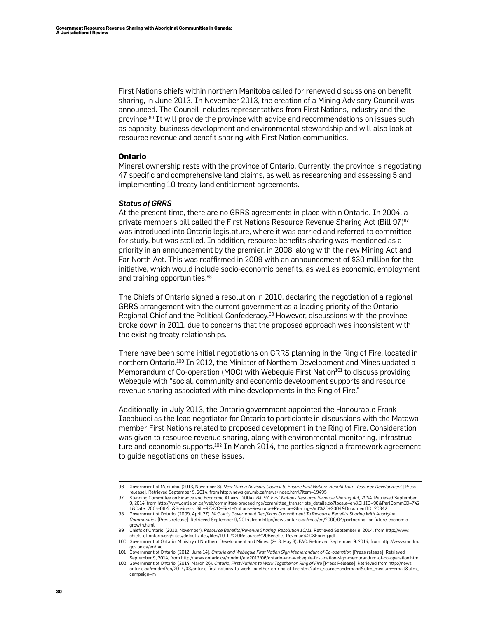First Nations chiefs within northern Manitoba called for renewed discussions on benefit sharing, in June 2013. In November 2013, the creation of a Mining Advisory Council was announced. The Council includes representatives from First Nations, industry and the province.96 It will provide the province with advice and recommendations on issues such as capacity, business development and environmental stewardship and will also look at resource revenue and benefit sharing with First Nation communities.

#### **Ontario**

Mineral ownership rests with the province of Ontario. Currently, the province is negotiating 47 specific and comprehensive land claims, as well as researching and assessing 5 and implementing 10 treaty land entitlement agreements.

#### *Status of GRRS*

At the present time, there are no GRRS agreements in place within Ontario. In 2004, a private member's bill called the First Nations Resource Revenue Sharing Act (Bill 97)<sup>97</sup> was introduced into Ontario legislature, where it was carried and referred to committee for study, but was stalled. In addition, resource benefits sharing was mentioned as a priority in an announcement by the premier, in 2008, along with the new Mining Act and Far North Act. This was reaffirmed in 2009 with an announcement of \$30 million for the initiative, which would include socio-economic benefits, as well as economic, employment and training opportunities.<sup>98</sup>

The Chiefs of Ontario signed a resolution in 2010, declaring the negotiation of a regional GRRS arrangement with the current government as a leading priority of the Ontario Regional Chief and the Political Confederacy.99 However, discussions with the province broke down in 2011, due to concerns that the proposed approach was inconsistent with the existing treaty relationships.

There have been some initial negotiations on GRRS planning in the Ring of Fire, located in northern Ontario.100 In 2012, the Minister of Northern Development and Mines updated a Memorandum of Co-operation (MOC) with Webequie First Nation101 to discuss providing Webequie with "social, community and economic development supports and resource revenue sharing associated with mine developments in the Ring of Fire."

Additionally, in July 2013, the Ontario government appointed the Honourable Frank Iacobucci as the lead negotiator for Ontario to participate in discussions with the Matawamember First Nations related to proposed development in the Ring of Fire. Consideration was given to resource revenue sharing, along with environmental monitoring, infrastructure and economic supports.<sup>102</sup> In March 2014, the parties signed a framework agreement to guide negotiations on these issues.

<sup>96</sup> Government of Manitoba. (2013, November 8). *New Mining Advisory Council to Ensure First Nations Benefit from Resource Development* [Press release]. Retrieved September 9, 2014, from http://news.gov.mb.ca/news/index.html?item=19495

<sup>97</sup> Standing Committee on Finance and Economic Affairs. (2004). *Bill 97, First Nations Resource Revenue Sharing Act, 2004*. Retrieved September 9, 2014, from http://www.ontla.on.ca/web/committee-proceedings/committee\_transcripts\_details.do?locale=en&BillID=96&ParlCommID=742 1&Date=2004-09-21&Business=Bill+97%2C+First+Nations+Resource+Revenue+Sharing+Act%2C+2004&DocumentID=20342 98 Government of Ontario. (2009, April 27). *McGuinty Government Reaffirms Commitment To Resource Benefits Sharing With Aboriginal* 

*Communities* [Press release]. Retrieved September 9, 2014, from http://news.ontario.ca/maa/en/2009/04/partnering-for-future-economicgrowth.html 99 Chiefs of Ontario. (2010, November). *Resource Benefits/Revenue Sharing, Resolution 10/11*. Retrieved September 9, 2014, from http://www.

chiefs-of-ontario.org/sites/default/files/files/10-11%20Resource%20Benefits-Revenue%20Sharing.pdf

<sup>100</sup> Government of Ontario, Ministry of Northern Development and Mines. (2-13, May 3). FAQ. Retrieved September 9, 2014, from http://www.mndm. gov.on.ca/en/faq

<sup>101</sup> Government of Ontario. (2012, June 14). *Ontario and Webequie First Nation Sign Memorandum of Co-operation* [Press release]. Retrieved September 9, 2014, from http://news.ontario.ca/mndmf/en/2012/06/ontario-and-webequie-first-nation-sign-memorandum-of-co-operation.html

<sup>102</sup> Government of Ontario. (2014, March 26). *Ontario, First Nations to Work Together on Ring of Fire* [Press Release]. Retrieved from http://news. ontario.ca/mndmf/en/2014/03/ontario-first-nations-to-work-together-on-ring-of-fire.html?utm\_source=ondemand&utm\_medium=email&utm\_ campaign=m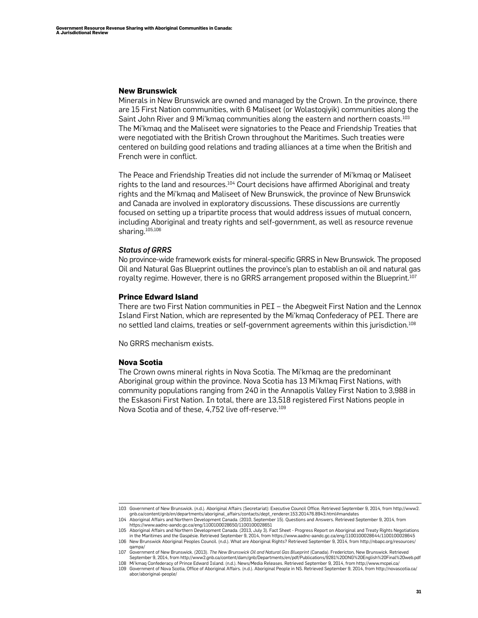#### **New Brunswick**

Minerals in New Brunswick are owned and managed by the Crown. In the province, there are 15 First Nation communities, with 6 Maliseet (or Wolastoqiyik) communities along the Saint John River and 9 Mi'kmaq communities along the eastern and northern coasts.<sup>103</sup> The Mi'kmaq and the Maliseet were signatories to the Peace and Friendship Treaties that were negotiated with the British Crown throughout the Maritimes. Such treaties were centered on building good relations and trading alliances at a time when the British and French were in conflict.

The Peace and Friendship Treaties did not include the surrender of Mi'kmaq or Maliseet rights to the land and resources.<sup>104</sup> Court decisions have affirmed Aboriginal and treaty rights and the Mi'kmaq and Maliseet of New Brunswick, the province of New Brunswick and Canada are involved in exploratory discussions. These discussions are currently focused on setting up a tripartite process that would address issues of mutual concern, including Aboriginal and treaty rights and self-government, as well as resource revenue sharing.105,106

#### *Status of GRRS*

No province-wide framework exists for mineral-specific GRRS in New Brunswick. The proposed Oil and Natural Gas Blueprint outlines the province's plan to establish an oil and natural gas royalty regime. However, there is no GRRS arrangement proposed within the Blueprint.<sup>107</sup>

#### **Prince Edward Island**

There are two First Nation communities in PEI – the Abegweit First Nation and the Lennox Island First Nation, which are represented by the Mi'kmaq Confederacy of PEI. There are no settled land claims, treaties or self-government agreements within this jurisdiction.<sup>108</sup>

No GRRS mechanism exists.

#### **Nova Scotia**

The Crown owns mineral rights in Nova Scotia. The Mi'kmaq are the predominant Aboriginal group within the province. Nova Scotia has 13 Mi'kmaq First Nations, with community populations ranging from 240 in the Annapolis Valley First Nation to 3,988 in the Eskasoni First Nation. In total, there are 13,518 registered First Nations people in Nova Scotia and of these, 4,752 live off-reserve.<sup>109</sup>

<sup>103</sup> Government of New Brunswick. (n.d.). Aboriginal Affairs (Secretariat): Executive Council Office. Retrieved September 9, 2014, from http://www2. gnb.ca/content/gnb/en/departments/aboriginal\_affairs/contacts/dept\_renderer.153.201476.8943.html#mandates 104 Aboriginal Affairs and Northern Development Canada. (2010, September 15). Questions and Answers. Retrieved September 9, 2014, from

https://www.aadnc-aandc.gc.ca/eng/1100100028650/1100100028651

<sup>105</sup> Aboriginal Affairs and Northern Development Canada. (2013, July 3). Fact Sheet - Progress Report on Aboriginal and Treaty Rights Negotiations in the Maritimes and the Gaspésie. Retrieved September 9, 2014, from https://www.aadnc-aandc.gc.ca/eng/1100100028644/1100100028645 106 New Brunswick Aboriginal Peoples Council. (n.d.). What are Aboriginal Rights? Retrieved September 9, 2014, from http://nbapc.org/resources/

qampa/ 107 Government of New Brunswick. (2013). *The New Brunswick Oil and Natural Gas Blueprint* (Canada). Fredericton, New Brunswick. Retrieved

September 9, 2014, from http://www2.gnb.ca/content/dam/gnb/Departments/en/pdf/Publications/9281%20ONG%20English%20Final%20web.pdf<br>108 Mi'kmaq Confederacy of Prince Edward Island. (n.d.). News/Media Releases. Retrieved Se 109 Government of Nova Scotia, Office of Aboriginal Affairs. (n.d.). Aboriginal People in NS. Retrieved September 9, 2014, from http://novascotia.ca/

abor/aboriginal-people/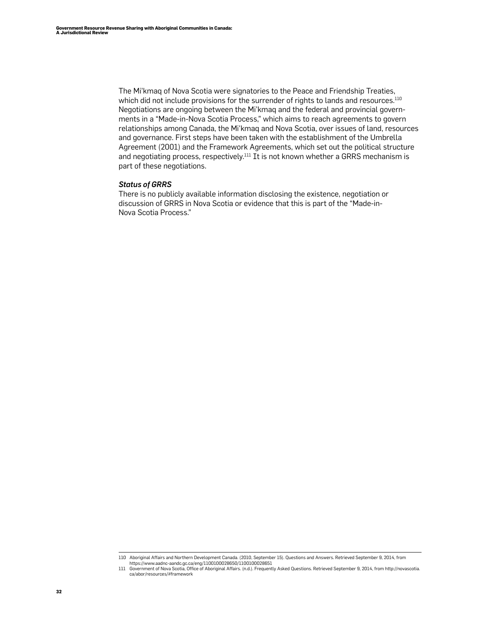The Mi'kmaq of Nova Scotia were signatories to the Peace and Friendship Treaties, which did not include provisions for the surrender of rights to lands and resources.<sup>110</sup> Negotiations are ongoing between the Mi'kmaq and the federal and provincial governments in a "Made-in-Nova Scotia Process," which aims to reach agreements to govern relationships among Canada, the Mi'kmaq and Nova Scotia, over issues of land, resources and governance. First steps have been taken with the establishment of the Umbrella Agreement (2001) and the Framework Agreements, which set out the political structure and negotiating process, respectively.<sup>111</sup> It is not known whether a GRRS mechanism is part of these negotiations.

#### *Status of GRRS*

There is no publicly available information disclosing the existence, negotiation or discussion of GRRS in Nova Scotia or evidence that this is part of the "Made-in-Nova Scotia Process."

<sup>110</sup> Aboriginal Affairs and Northern Development Canada. (2010, September 15). Questions and Answers. Retrieved September 9, 2014, from https://www.aadnc-aandc.gc.ca/eng/1100100028650/1100100028651

<sup>111</sup> Government of Nova Scotia, Office of Aboriginal Affairs. (n.d.). Frequently Asked Questions. Retrieved September 9, 2014, from http://novascotia. ca/abor/resources/#framework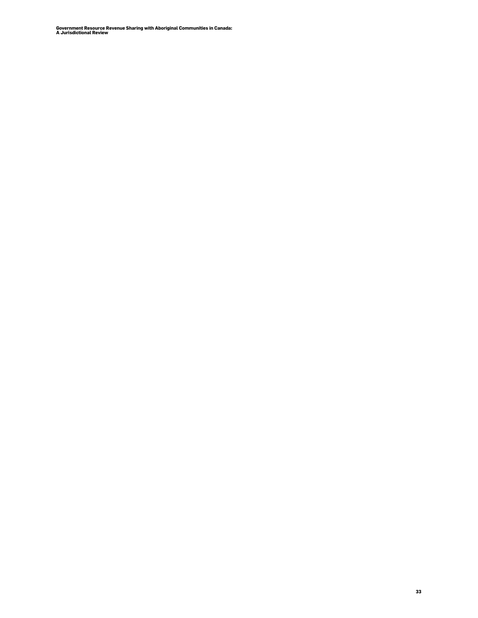**Government Resource Revenue Sharing with Aboriginal Communities in Canada: A Jurisdictional Review**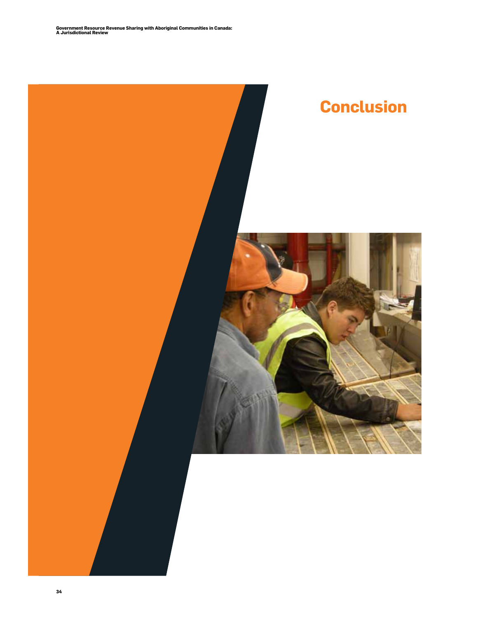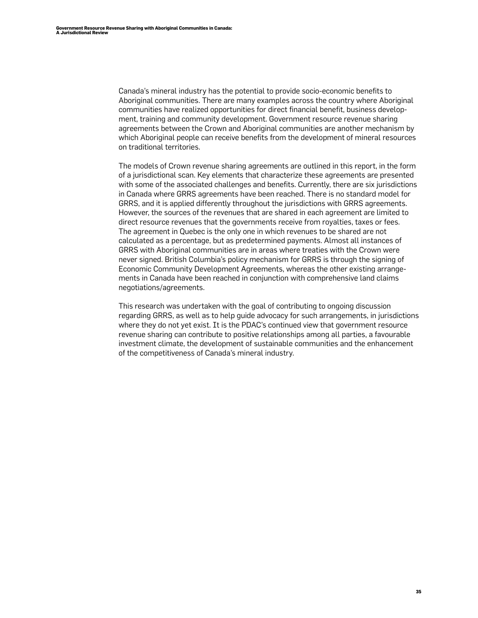Canada's mineral industry has the potential to provide socio-economic benefits to Aboriginal communities. There are many examples across the country where Aboriginal communities have realized opportunities for direct financial benefit, business development, training and community development. Government resource revenue sharing agreements between the Crown and Aboriginal communities are another mechanism by which Aboriginal people can receive benefits from the development of mineral resources on traditional territories.

The models of Crown revenue sharing agreements are outlined in this report, in the form of a jurisdictional scan. Key elements that characterize these agreements are presented with some of the associated challenges and benefits. Currently, there are six jurisdictions in Canada where GRRS agreements have been reached. There is no standard model for GRRS, and it is applied differently throughout the jurisdictions with GRRS agreements. However, the sources of the revenues that are shared in each agreement are limited to direct resource revenues that the governments receive from royalties, taxes or fees. The agreement in Quebec is the only one in which revenues to be shared are not calculated as a percentage, but as predetermined payments. Almost all instances of GRRS with Aboriginal communities are in areas where treaties with the Crown were never signed. British Columbia's policy mechanism for GRRS is through the signing of Economic Community Development Agreements, whereas the other existing arrangements in Canada have been reached in conjunction with comprehensive land claims negotiations/agreements.

This research was undertaken with the goal of contributing to ongoing discussion regarding GRRS, as well as to help guide advocacy for such arrangements, in jurisdictions where they do not yet exist. It is the PDAC's continued view that government resource revenue sharing can contribute to positive relationships among all parties, a favourable investment climate, the development of sustainable communities and the enhancement of the competitiveness of Canada's mineral industry.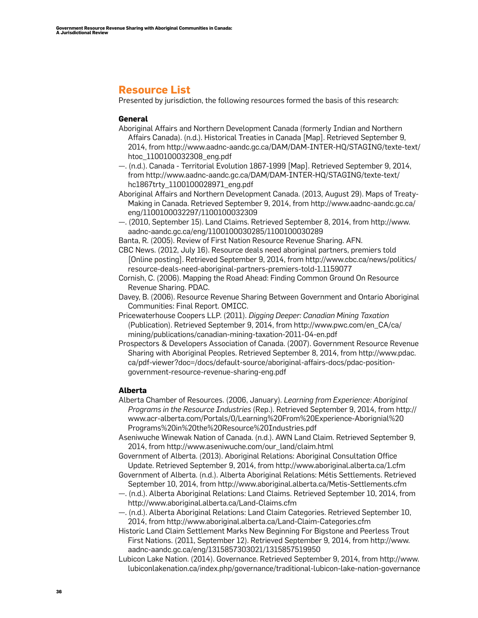# **Resource List**

Presented by jurisdiction, the following resources formed the basis of this research:

## **General**

- Aboriginal Affairs and Northern Development Canada (formerly Indian and Northern Affairs Canada). (n.d.). Historical Treaties in Canada [Map]. Retrieved September 9, 2014, from http://www.aadnc-aandc.gc.ca/DAM/DAM-INTER-HQ/STAGING/texte-text/ htoc\_1100100032308\_eng.pdf
- —. (n.d.). Canada Territorial Evolution 1867-1999 [Map]. Retrieved September 9, 2014, from http://www.aadnc-aandc.gc.ca/DAM/DAM-INTER-HQ/STAGING/texte-text/ hc1867trty\_1100100028971\_eng.pdf
- Aboriginal Affairs and Northern Development Canada. (2013, August 29). Maps of Treaty-Making in Canada. Retrieved September 9, 2014, from http://www.aadnc-aandc.gc.ca/ eng/1100100032297/1100100032309
- —. (2010, September 15). Land Claims. Retrieved September 8, 2014, from http://www. aadnc-aandc.gc.ca/eng/1100100030285/1100100030289
- Banta, R. (2005). Review of First Nation Resource Revenue Sharing. AFN.
- CBC News. (2012, July 16). Resource deals need aboriginal partners, premiers told [Online posting]. Retrieved September 9, 2014, from http://www.cbc.ca/news/politics/ resource-deals-need-aboriginal-partners-premiers-told-1.1159077
- Cornish, C. (2006). Mapping the Road Ahead: Finding Common Ground On Resource Revenue Sharing. PDAC.
- Davey, B. (2006). Resource Revenue Sharing Between Government and Ontario Aboriginal Communities: Final Report. OMICC.
- Pricewaterhouse Coopers LLP. (2011). *Digging Deeper: Canadian Mining Taxation* (Publication). Retrieved September 9, 2014, from http://www.pwc.com/en\_CA/ca/ mining/publications/canadian-mining-taxation-2011-04-en.pdf
- Prospectors & Developers Association of Canada. (2007). Government Resource Revenue Sharing with Aboriginal Peoples. Retrieved September 8, 2014, from http://www.pdac. ca/pdf-viewer?doc=/docs/default-source/aboriginal-affairs-docs/pdac-positiongovernment-resource-revenue-sharing-eng.pdf

## **Alberta**

- Alberta Chamber of Resources. (2006, January). *Learning from Experience: Aboriginal Programs in the Resource Industries* (Rep.). Retrieved September 9, 2014, from http:// www.acr-alberta.com/Portals/0/Learning%20From%20Experience-Aborignial%20 Programs%20in%20the%20Resource%20Industries.pdf
- Aseniwuche Winewak Nation of Canada. (n.d.). AWN Land Claim. Retrieved September 9, 2014, from http://www.aseniwuche.com/our\_land/claim.html
- Government of Alberta. (2013). Aboriginal Relations: Aboriginal Consultation Office Update. Retrieved September 9, 2014, from http://www.aboriginal.alberta.ca/1.cfm
- Government of Alberta. (n.d.). Alberta Aboriginal Relations: Métis Settlements. Retrieved September 10, 2014, from http://www.aboriginal.alberta.ca/Metis-Settlements.cfm
- —. (n.d.). Alberta Aboriginal Relations: Land Claims. Retrieved September 10, 2014, from http://www.aboriginal.alberta.ca/Land-Claims.cfm
- —. (n.d.). Alberta Aboriginal Relations: Land Claim Categories. Retrieved September 10, 2014, from http://www.aboriginal.alberta.ca/Land-Claim-Categories.cfm
- Historic Land Claim Settlement Marks New Beginning For Bigstone and Peerless Trout First Nations. (2011, September 12). Retrieved September 9, 2014, from http://www. aadnc-aandc.gc.ca/eng/1315857303021/1315857519950
- Lubicon Lake Nation. (2014). Governance. Retrieved September 9, 2014, from http://www. lubiconlakenation.ca/index.php/governance/traditional-lubicon-lake-nation-governance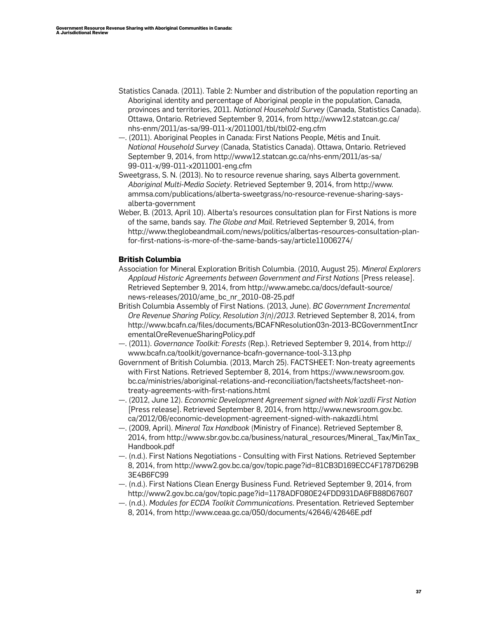- Statistics Canada. (2011). Table 2: Number and distribution of the population reporting an Aboriginal identity and percentage of Aboriginal people in the population, Canada, provinces and territories, 2011. *National Household Survey* (Canada, Statistics Canada). Ottawa, Ontario. Retrieved September 9, 2014, from http://www12.statcan.gc.ca/ nhs-enm/2011/as-sa/99-011-x/2011001/tbl/tbl02-eng.cfm
- —. (2011). Aboriginal Peoples in Canada: First Nations People, Métis and Inuit. *National Household Survey* (Canada, Statistics Canada). Ottawa, Ontario. Retrieved September 9, 2014, from http://www12.statcan.gc.ca/nhs-enm/2011/as-sa/ 99-011-x/99-011-x2011001-eng.cfm
- Sweetgrass, S. N. (2013). No to resource revenue sharing, says Alberta government. *Aboriginal Multi-Media Society*. Retrieved September 9, 2014, from http://www. ammsa.com/publications/alberta-sweetgrass/no-resource-revenue-sharing-saysalberta-government
- Weber, B. (2013, April 10). Alberta's resources consultation plan for First Nations is more of the same, bands say. *The Globe and Mail*. Retrieved September 9, 2014, from http://www.theglobeandmail.com/news/politics/albertas-resources-consultation-planfor-first-nations-is-more-of-the-same-bands-say/article11006274/

## **British Columbia**

- Association for Mineral Exploration British Columbia. (2010, August 25). *Mineral Explorers Applaud Historic Agreements between Government and First Nations* [Press release]. Retrieved September 9, 2014, from http://www.amebc.ca/docs/default-source/ news-releases/2010/ame\_bc\_nr\_2010-08-25.pdf
- British Columbia Assembly of First Nations. (2013, June). *BC Government Incremental Ore Revenue Sharing Policy, Resolution 3(n)/2013*. Retrieved September 8, 2014, from http://www.bcafn.ca/files/documents/BCAFNResolution03n-2013-BCGovernmentIncr ementalOreRevenueSharingPolicy.pdf
- —. (2011). *Governance Toolkit: Forests* (Rep.). Retrieved September 9, 2014, from http:// www.bcafn.ca/toolkit/governance-bcafn-governance-tool-3.13.php
- Government of British Columbia. (2013, March 25). FACTSHEET: Non-treaty agreements with First Nations. Retrieved September 8, 2014, from https://www.newsroom.gov. bc.ca/ministries/aboriginal-relations-and-reconciliation/factsheets/factsheet-nontreaty-agreements-with-first-nations.html
- —. (2012, June 12). *Economic Development Agreement signed with Nak'azdli First Nation* [Press release]. Retrieved September 8, 2014, from http://www.newsroom.gov.bc. ca/2012/06/economic-development-agreement-signed-with-nakazdli.html
- —. (2009, April). *Mineral Tax Handbook* (Ministry of Finance). Retrieved September 8, 2014, from http://www.sbr.gov.bc.ca/business/natural\_resources/Mineral\_Tax/MinTax\_ Handbook.pdf
- —. (n.d.). First Nations Negotiations Consulting with First Nations. Retrieved September 8, 2014, from http://www2.gov.bc.ca/gov/topic.page?id=81CB3D169ECC4F1787D629B 3E4B6FC99
- —. (n.d.). First Nations Clean Energy Business Fund. Retrieved September 9, 2014, from http://www2.gov.bc.ca/gov/topic.page?id=1178ADF080E24FDD931DA6FB88D67607
- —. (n.d.). *Modules for ECDA Toolkit Communications*. Presentation. Retrieved September 8, 2014, from http://www.ceaa.gc.ca/050/documents/42646/42646E.pdf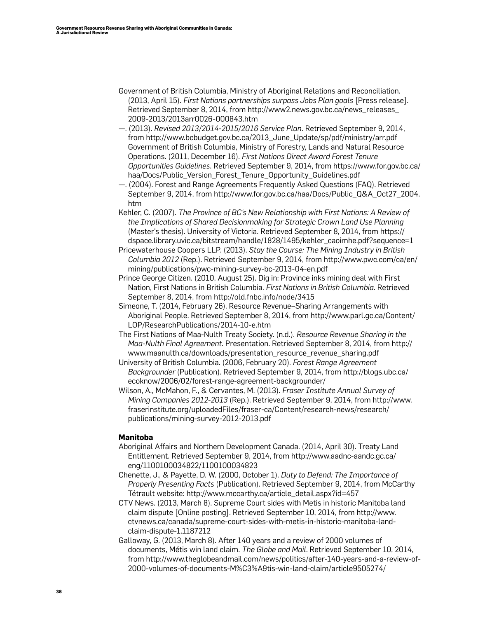- Government of British Columbia, Ministry of Aboriginal Relations and Reconciliation. (2013, April 15). *First Nations partnerships surpass Jobs Plan goals* [Press release]. Retrieved September 8, 2014, from http://www2.news.gov.bc.ca/news\_releases\_ 2009-2013/2013arr0026-000843.htm
- —. (2013). *Revised 2013/2014-2015/2016 Service Plan*. Retrieved September 9, 2014, from http://www.bcbudget.gov.bc.ca/2013\_June\_Update/sp/pdf/ministry/arr.pdf Government of British Columbia, Ministry of Forestry, Lands and Natural Resource Operations. (2011, December 16). *First Nations Direct Award Forest Tenure Opportunities Guidelines*. Retrieved September 9, 2014, from https://www.for.gov.bc.ca/ haa/Docs/Public\_Version\_Forest\_Tenure\_Opportunity\_Guidelines.pdf
- —. (2004). Forest and Range Agreements Frequently Asked Questions (FAQ). Retrieved September 9, 2014, from http://www.for.gov.bc.ca/haa/Docs/Public\_Q&A\_Oct27\_2004. htm
- Kehler, C. (2007). *The Province of BC's New Relationship with First Nations: A Review of the Implications of Shared Decisionmaking for Strategic Crown Land Use Planning* (Master's thesis). University of Victoria. Retrieved September 8, 2014, from https:// dspace.library.uvic.ca/bitstream/handle/1828/1495/kehler\_caoimhe.pdf?sequence=1
- Pricewaterhouse Coopers LLP. (2013). *Stay the Course: The Mining Industry in British Columbia 2012* (Rep.). Retrieved September 9, 2014, from http://www.pwc.com/ca/en/ mining/publications/pwc-mining-survey-bc-2013-04-en.pdf
- Prince George Citizen. (2010, August 25). Dig in: Province inks mining deal with First Nation, First Nations in British Columbia. *First Nations in British Columbia*. Retrieved September 8, 2014, from http://old.fnbc.info/node/3415
- Simeone, T. (2014, February 26). Resource Revenue–Sharing Arrangements with Aboriginal People. Retrieved September 8, 2014, from http://www.parl.gc.ca/Content/ LOP/ResearchPublications/2014-10-e.htm
- The First Nations of Maa-Nulth Treaty Society. (n.d.). *Resource Revenue Sharing in the Maa-Nulth Final Agreement*. Presentation. Retrieved September 8, 2014, from http:// www.maanulth.ca/downloads/presentation\_resource\_revenue\_sharing.pdf
- University of British Columbia. (2006, February 20). *Forest Range Agreement Backgrounder* (Publication). Retrieved September 9, 2014, from http://blogs.ubc.ca/ ecoknow/2006/02/forest-range-agreement-backgrounder/
- Wilson, A., McMahon, F., & Cervantes, M. (2013). *Fraser Institute Annual Survey of Mining Companies 2012-2013* (Rep.). Retrieved September 9, 2014, from http://www. fraserinstitute.org/uploadedFiles/fraser-ca/Content/research-news/research/ publications/mining-survey-2012-2013.pdf

## **Manitoba**

- Aboriginal Affairs and Northern Development Canada. (2014, April 30). Treaty Land Entitlement. Retrieved September 9, 2014, from http://www.aadnc-aandc.gc.ca/ eng/1100100034822/1100100034823
- Chenette, J., & Payette, D. W. (2000, October 1). *Duty to Defend: The Importance of Properly Presenting Facts* (Publication). Retrieved September 9, 2014, from McCarthy Tétrault website: http://www.mccarthy.ca/article\_detail.aspx?id=457
- CTV News. (2013, March 8). Supreme Court sides with Metis in historic Manitoba land claim dispute [Online posting]. Retrieved September 10, 2014, from http://www. ctvnews.ca/canada/supreme-court-sides-with-metis-in-historic-manitoba-landclaim-dispute-1.1187212
- Galloway, G. (2013, March 8). After 140 years and a review of 2000 volumes of documents, Métis win land claim. *The Globe and Mail*. Retrieved September 10, 2014, from http://www.theglobeandmail.com/news/politics/after-140-years-and-a-review-of-2000-volumes-of-documents-M%C3%A9tis-win-land-claim/article9505274/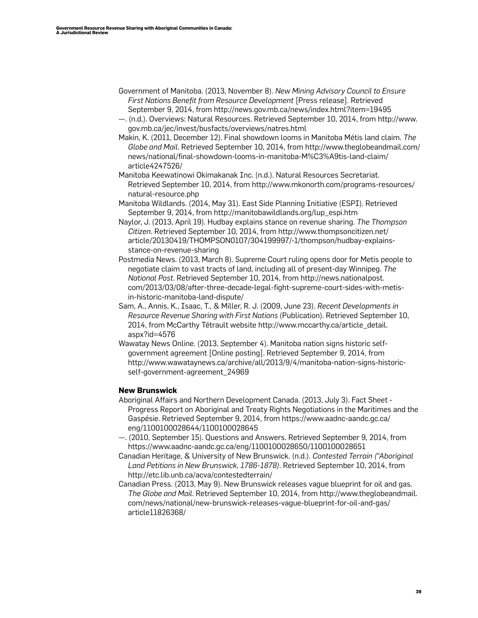- Government of Manitoba. (2013, November 8). *New Mining Advisory Council to Ensure First Nations Benefit from Resource Development* [Press release]. Retrieved September 9, 2014, from http://news.gov.mb.ca/news/index.html?item=19495
- —. (n.d.). Overviews: Natural Resources. Retrieved September 10, 2014, from http://www. gov.mb.ca/jec/invest/busfacts/overviews/natres.html
- Makin, K. (2011, December 12). Final showdown looms in Manitoba Métis land claim. *The Globe and Mail*. Retrieved September 10, 2014, from http://www.theglobeandmail.com/ news/national/final-showdown-looms-in-manitoba-M%C3%A9tis-land-claim/ article4247526/
- Manitoba Keewatinowi Okimakanak Inc. (n.d.). Natural Resources Secretariat. Retrieved September 10, 2014, from http://www.mkonorth.com/programs-resources/ natural-resource.php
- Manitoba Wildlands. (2014, May 31). East Side Planning Initiative (ESPI). Retrieved September 9, 2014, from http://manitobawildlands.org/lup\_espi.htm
- Naylor, J. (2013, April 19). Hudbay explains stance on revenue sharing. *The Thompson Citizen*. Retrieved September 10, 2014, from http://www.thompsoncitizen.net/ article/20130419/THOMPSON0107/304199997/-1/thompson/hudbay-explainsstance-on-revenue-sharing
- Postmedia News. (2013, March 8). Supreme Court ruling opens door for Metis people to negotiate claim to vast tracts of land, including all of present-day Winnipeg. *The National Post*. Retrieved September 10, 2014, from http://news.nationalpost. com/2013/03/08/after-three-decade-legal-fight-supreme-court-sides-with-metisin-historic-manitoba-land-dispute/
- Sam, A., Annis, K., Isaac, T., & Miller, R. J. (2009, June 23). *Recent Developments in Resource Revenue Sharing with First Nations* (Publication). Retrieved September 10, 2014, from McCarthy Tétrault website http://www.mccarthy.ca/article\_detail. aspx?id=4576
- Wawatay News Online. (2013, September 4). Manitoba nation signs historic selfgovernment agreement [Online posting]. Retrieved September 9, 2014, from http://www.wawataynews.ca/archive/all/2013/9/4/manitoba-nation-signs-historicself-government-agreement\_24969

## **New Brunswick**

- Aboriginal Affairs and Northern Development Canada. (2013, July 3). Fact Sheet Progress Report on Aboriginal and Treaty Rights Negotiations in the Maritimes and the Gaspésie. Retrieved September 9, 2014, from https://www.aadnc-aandc.gc.ca/ eng/1100100028644/1100100028645
- —. (2010, September 15). Questions and Answers. Retrieved September 9, 2014, from https://www.aadnc-aandc.gc.ca/eng/1100100028650/1100100028651
- Canadian Heritage, & University of New Brunswick. (n.d.). *Contested Terrain ("Aboriginal Land Petitions in New Brunswick, 1786-1878)*. Retrieved September 10, 2014, from http://etc.lib.unb.ca/acva/contestedterrain/
- Canadian Press. (2013, May 9). New Brunswick releases vague blueprint for oil and gas. *The Globe and Mail*. Retrieved September 10, 2014, from http://www.theglobeandmail. com/news/national/new-brunswick-releases-vague-blueprint-for-oil-and-gas/ article11826368/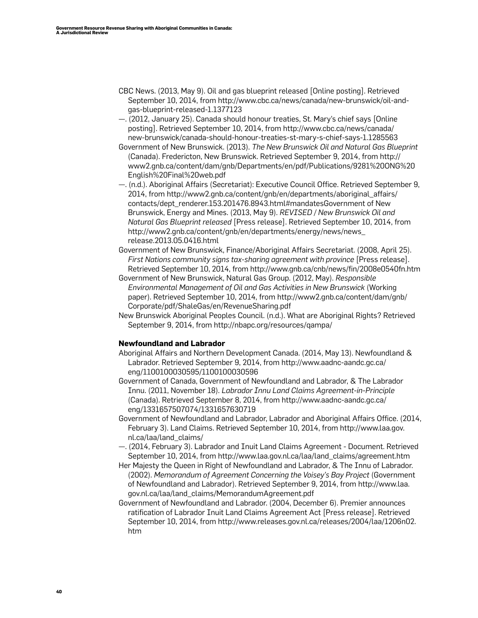- CBC News. (2013, May 9). Oil and gas blueprint released [Online posting]. Retrieved September 10, 2014, from http://www.cbc.ca/news/canada/new-brunswick/oil-andgas-blueprint-released-1.1377123
- —. (2012, January 25). Canada should honour treaties, St. Mary's chief says [Online posting]. Retrieved September 10, 2014, from http://www.cbc.ca/news/canada/ new-brunswick/canada-should-honour-treaties-st-mary-s-chief-says-1.1285563
- Government of New Brunswick. (2013). *The New Brunswick Oil and Natural Gas Blueprint* (Canada). Fredericton, New Brunswick. Retrieved September 9, 2014, from http:// www2.gnb.ca/content/dam/gnb/Departments/en/pdf/Publications/9281%20ONG%20 English%20Final%20web.pdf
- —. (n.d.). Aboriginal Affairs (Secretariat): Executive Council Office. Retrieved September 9, 2014, from http://www2.gnb.ca/content/gnb/en/departments/aboriginal\_affairs/ contacts/dept\_renderer.153.201476.8943.html#mandatesGovernment of New Brunswick, Energy and Mines. (2013, May 9). *REVISED / New Brunswick Oil and Natural Gas Blueprint released* [Press release]. Retrieved September 10, 2014, from http://www2.gnb.ca/content/gnb/en/departments/energy/news/news\_ release.2013.05.0416.html
- Government of New Brunswick, Finance/Aboriginal Affairs Secretariat. (2008, April 25). *First Nations community signs tax-sharing agreement with province* [Press release]. Retrieved September 10, 2014, from http://www.gnb.ca/cnb/news/fin/2008e0540fn.htm
- Government of New Brunswick, Natural Gas Group. (2012, May). *Responsible Environmental Management of Oil and Gas Activities in New Brunswick* (Working paper). Retrieved September 10, 2014, from http://www2.gnb.ca/content/dam/gnb/ Corporate/pdf/ShaleGas/en/RevenueSharing.pdf
- New Brunswick Aboriginal Peoples Council. (n.d.). What are Aboriginal Rights? Retrieved September 9, 2014, from http://nbapc.org/resources/qampa/

## **Newfoundland and Labrador**

- Aboriginal Affairs and Northern Development Canada. (2014, May 13). Newfoundland & Labrador. Retrieved September 9, 2014, from http://www.aadnc-aandc.gc.ca/ eng/1100100030595/1100100030596
- Government of Canada, Government of Newfoundland and Labrador, & The Labrador Innu. (2011, November 18). *Labrador Innu Land Claims Agreement-in-Principle* (Canada). Retrieved September 8, 2014, from http://www.aadnc-aandc.gc.ca/ eng/1331657507074/1331657630719
- Government of Newfoundland and Labrador, Labrador and Aboriginal Affairs Office. (2014, February 3). Land Claims. Retrieved September 10, 2014, from http://www.laa.gov. nl.ca/laa/land\_claims/
- —. (2014, February 3). Labrador and Inuit Land Claims Agreement Document. Retrieved September 10, 2014, from http://www.laa.gov.nl.ca/laa/land\_claims/agreement.htm
- Her Majesty the Queen in Right of Newfoundland and Labrador, & The Innu of Labrador. (2002). *Memorandum of Agreement Concerning the Voisey's Bay Project* (Government of Newfoundland and Labrador). Retrieved September 9, 2014, from http://www.laa. gov.nl.ca/laa/land\_claims/MemorandumAgreement.pdf
- Government of Newfoundland and Labrador. (2004, December 6). Premier announces ratification of Labrador Inuit Land Claims Agreement Act [Press release]. Retrieved September 10, 2014, from http://www.releases.gov.nl.ca/releases/2004/laa/1206n02. htm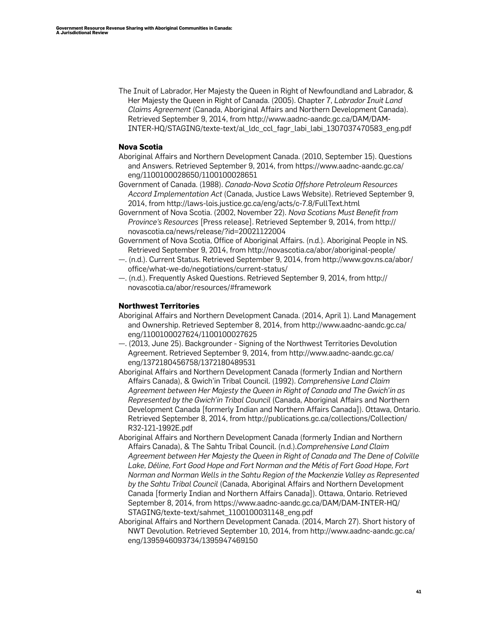The Inuit of Labrador, Her Majesty the Queen in Right of Newfoundland and Labrador, & Her Majesty the Queen in Right of Canada. (2005). Chapter 7, *Labrador Inuit Land Claims Agreement* (Canada, Aboriginal Affairs and Northern Development Canada). Retrieved September 9, 2014, from http://www.aadnc-aandc.gc.ca/DAM/DAM-INTER-HQ/STAGING/texte-text/al\_ldc\_ccl\_fagr\_labi\_labi\_1307037470583\_eng.pdf

## **Nova Scotia**

- Aboriginal Affairs and Northern Development Canada. (2010, September 15). Questions and Answers. Retrieved September 9, 2014, from https://www.aadnc-aandc.gc.ca/ eng/1100100028650/1100100028651
- Government of Canada. (1988). *Canada-Nova Scotia Offshore Petroleum Resources Accord Implementation Act* (Canada, Justice Laws Website). Retrieved September 9, 2014, from http://laws-lois.justice.gc.ca/eng/acts/c-7.8/FullText.html
- Government of Nova Scotia. (2002, November 22). *Nova Scotians Must Benefit from Province's Resources* [Press release]. Retrieved September 9, 2014, from http:// novascotia.ca/news/release/?id=20021122004
- Government of Nova Scotia, Office of Aboriginal Affairs. (n.d.). Aboriginal People in NS. Retrieved September 9, 2014, from http://novascotia.ca/abor/aboriginal-people/
- —. (n.d.). Current Status. Retrieved September 9, 2014, from http://www.gov.ns.ca/abor/ office/what-we-do/negotiations/current-status/
- —. (n.d.). Frequently Asked Questions. Retrieved September 9, 2014, from http:// novascotia.ca/abor/resources/#framework

## **Northwest Territories**

- Aboriginal Affairs and Northern Development Canada. (2014, April 1). Land Management and Ownership. Retrieved September 8, 2014, from http://www.aadnc-aandc.gc.ca/ eng/1100100027624/1100100027625
- —. (2013, June 25). Backgrounder Signing of the Northwest Territories Devolution Agreement. Retrieved September 9, 2014, from http://www.aadnc-aandc.gc.ca/ eng/1372180456758/1372180489531
- Aboriginal Affairs and Northern Development Canada (formerly Indian and Northern Affairs Canada), & Gwich'in Tribal Council. (1992). *Comprehensive Land Claim Agreement between Her Majesty the Queen in Right of Canada and The Gwich'in as Represented by the Gwich'in Tribal Council* (Canada, Aboriginal Affairs and Northern Development Canada [formerly Indian and Northern Affairs Canada]). Ottawa, Ontario. Retrieved September 8, 2014, from http://publications.gc.ca/collections/Collection/ R32-121-1992E.pdf
- Aboriginal Affairs and Northern Development Canada (formerly Indian and Northern Affairs Canada), & The Sahtu Tribal Council. (n.d.).*Comprehensive Land Claim Agreement between Her Majesty the Queen in Right of Canada and The Dene of Colville Lake, Déline, Fort Good Hope and Fort Norman and the Métis of Fort Good Hope, Fort Norman and Norman Wells in the Sahtu Region of the Mackenzie Valley as Represented by the Sahtu Tribal Council* (Canada, Aboriginal Affairs and Northern Development Canada [formerly Indian and Northern Affairs Canada]). Ottawa, Ontario. Retrieved September 8, 2014, from https://www.aadnc-aandc.gc.ca/DAM/DAM-INTER-HQ/ STAGING/texte-text/sahmet\_1100100031148\_eng.pdf
- Aboriginal Affairs and Northern Development Canada. (2014, March 27). Short history of NWT Devolution. Retrieved September 10, 2014, from http://www.aadnc-aandc.gc.ca/ eng/1395946093734/1395947469150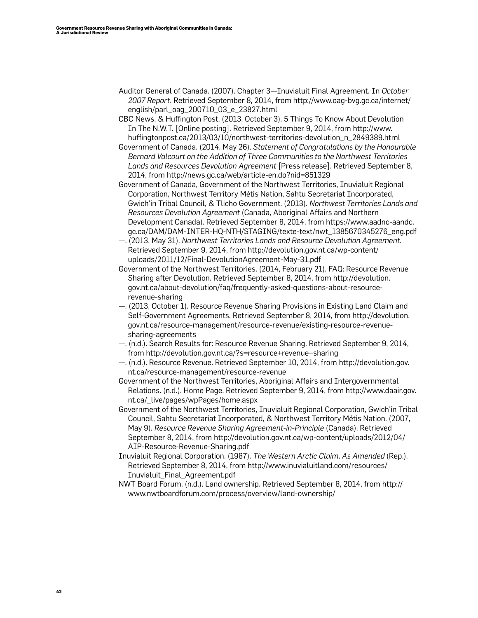- Auditor General of Canada. (2007). Chapter 3—Inuvialuit Final Agreement. In *October 2007 Report*. Retrieved September 8, 2014, from http://www.oag-bvg.gc.ca/internet/ english/parl\_oag\_200710\_03\_e\_23827.html
- CBC News, & Huffington Post. (2013, October 3). 5 Things To Know About Devolution In The N.W.T. [Online posting]. Retrieved September 9, 2014, from http://www. huffingtonpost.ca/2013/03/10/northwest-territories-devolution\_n\_2849389.html
- Government of Canada. (2014, May 26). *Statement of Congratulations by the Honourable Bernard Valcourt on the Addition of Three Communities to the Northwest Territories Lands and Resources Devolution Agreement* [Press release]. Retrieved September 8, 2014, from http://news.gc.ca/web/article-en.do?nid=851329
- Government of Canada, Government of the Northwest Territories, Inuvialuit Regional Corporation, Northwest Territory Métis Nation, Sahtu Secretariat Incorporated, Gwich'in Tribal Council, & Tlicho Government. (2013). *Northwest Territories Lands and Resources Devolution Agreement* (Canada, Aboriginal Affairs and Northern Development Canada). Retrieved September 8, 2014, from https://www.aadnc-aandc. gc.ca/DAM/DAM-INTER-HQ-NTH/STAGING/texte-text/nwt\_1385670345276\_eng.pdf
- —. (2013, May 31). *Northwest Territories Lands and Resource Devolution Agreement*. Retrieved September 9, 2014, from http://devolution.gov.nt.ca/wp-content/ uploads/2011/12/Final-DevolutionAgreement-May-31.pdf
- Government of the Northwest Territories. (2014, February 21). FAQ: Resource Revenue Sharing after Devolution. Retrieved September 8, 2014, from http://devolution. gov.nt.ca/about-devolution/faq/frequently-asked-questions-about-resourcerevenue-sharing
- —. (2013, October 1). Resource Revenue Sharing Provisions in Existing Land Claim and Self-Government Agreements. Retrieved September 8, 2014, from http://devolution. gov.nt.ca/resource-management/resource-revenue/existing-resource-revenuesharing-agreements
- —. (n.d.). Search Results for: Resource Revenue Sharing. Retrieved September 9, 2014, from http://devolution.gov.nt.ca/?s=resource+revenue+sharing
- —. (n.d.). Resource Revenue. Retrieved September 10, 2014, from http://devolution.gov. nt.ca/resource-management/resource-revenue
- Government of the Northwest Territories, Aboriginal Affairs and Intergovernmental Relations. (n.d.). Home Page. Retrieved September 9, 2014, from http://www.daair.gov. nt.ca/\_live/pages/wpPages/home.aspx
- Government of the Northwest Territories, Inuvialuit Regional Corporation, Gwich'in Tribal Council, Sahtu Secretariat Incorporated, & Northwest Territory Métis Nation. (2007, May 9). *Resource Revenue Sharing Agreement-in-Principle* (Canada). Retrieved September 8, 2014, from http://devolution.gov.nt.ca/wp-content/uploads/2012/04/ AIP-Resource-Revenue-Sharing.pdf
- Inuvialuit Regional Corporation. (1987). *The Western Arctic Claim, As Amended* (Rep.). Retrieved September 8, 2014, from http://www.inuvialuitland.com/resources/ Inuvialuit\_Final\_Agreement.pdf
- NWT Board Forum. (n.d.). Land ownership. Retrieved September 8, 2014, from http:// www.nwtboardforum.com/process/overview/land-ownership/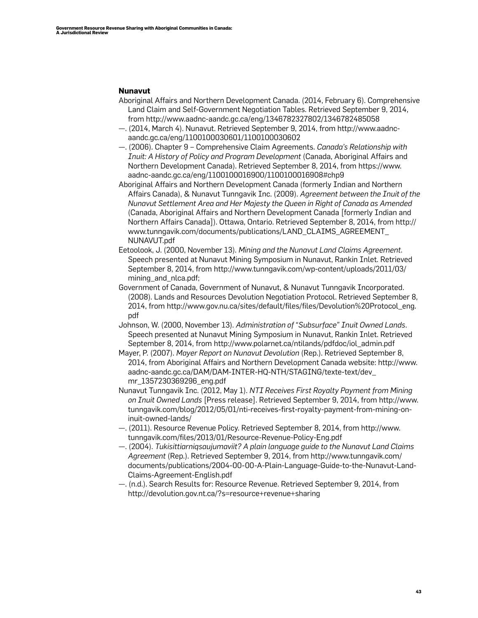## **Nunavut**

- Aboriginal Affairs and Northern Development Canada. (2014, February 6). Comprehensive Land Claim and Self-Government Negotiation Tables. Retrieved September 9, 2014, from http://www.aadnc-aandc.gc.ca/eng/1346782327802/1346782485058
- —. (2014, March 4). Nunavut. Retrieved September 9, 2014, from http://www.aadncaandc.gc.ca/eng/1100100030601/1100100030602
- —. (2006). Chapter 9 Comprehensive Claim Agreements. *Canada's Relationship with Inuit: A History of Policy and Program Development* (Canada, Aboriginal Affairs and Northern Development Canada). Retrieved September 8, 2014, from https://www. aadnc-aandc.gc.ca/eng/1100100016900/1100100016908#chp9
- Aboriginal Affairs and Northern Development Canada (formerly Indian and Northern Affairs Canada), & Nunavut Tunngavik Inc. (2009). *Agreement between the Inuit of the Nunavut Settlement Area and Her Majesty the Queen in Right of Canada as Amended* (Canada, Aboriginal Affairs and Northern Development Canada [formerly Indian and Northern Affairs Canada]). Ottawa, Ontario. Retrieved September 8, 2014, from http:// www.tunngavik.com/documents/publications/LAND\_CLAIMS\_AGREEMENT\_ NUNAVUT.pdf
- Eetoolook, J. (2000, November 13). *Mining and the Nunavut Land Claims Agreement*. Speech presented at Nunavut Mining Symposium in Nunavut, Rankin Inlet. Retrieved September 8, 2014, from http://www.tunngavik.com/wp-content/uploads/2011/03/ mining\_and\_nlca.pdf;
- Government of Canada, Government of Nunavut, & Nunavut Tunngavik Incorporated. (2008). Lands and Resources Devolution Negotiation Protocol. Retrieved September 8, 2014, from http://www.gov.nu.ca/sites/default/files/files/Devolution%20Protocol\_eng. pdf
- Johnson, W. (2000, November 13). *Administration of "Subsurface" Inuit Owned Lands*. Speech presented at Nunavut Mining Symposium in Nunavut, Rankin Inlet. Retrieved September 8, 2014, from http://www.polarnet.ca/ntilands/pdfdoc/iol\_admin.pdf
- Mayer, P. (2007). *Mayer Report on Nunavut Devolution* (Rep.). Retrieved September 8, 2014, from Aboriginal Affairs and Northern Development Canada website: http://www. aadnc-aandc.gc.ca/DAM/DAM-INTER-HQ-NTH/STAGING/texte-text/dev\_ mr\_1357230369296\_eng.pdf
- Nunavut Tunngavik Inc. (2012, May 1). *NTI Receives First Royalty Payment from Mining on Inuit Owned Lands* [Press release]. Retrieved September 9, 2014, from http://www. tunngavik.com/blog/2012/05/01/nti-receives-first-royalty-payment-from-mining-oninuit-owned-lands/
- —. (2011). Resource Revenue Policy. Retrieved September 8, 2014, from http://www. tunngavik.com/files/2013/01/Resource-Revenue-Policy-Eng.pdf
- —. (2004). *Tukisittiarniqsaujumaviit? A plain language guide to the Nunavut Land Claims Agreement* (Rep.). Retrieved September 9, 2014, from http://www.tunngavik.com/ documents/publications/2004-00-00-A-Plain-Language-Guide-to-the-Nunavut-Land-Claims-Agreement-English.pdf
- —. (n.d.). Search Results for: Resource Revenue. Retrieved September 9, 2014, from http://devolution.gov.nt.ca/?s=resource+revenue+sharing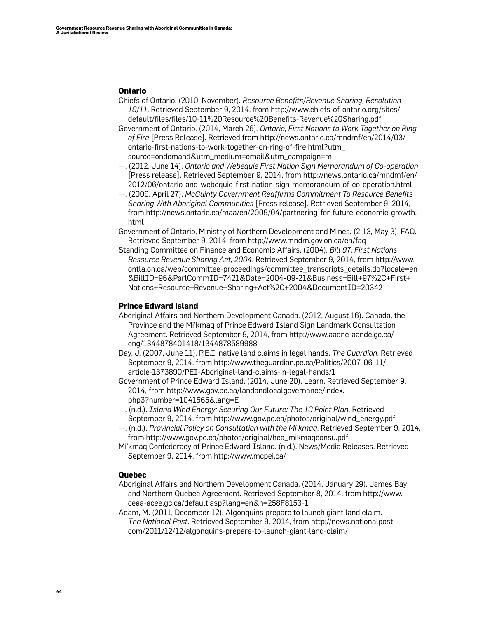## **Ontario**

- Chiefs of Ontario. (2010, November). *Resource Benefits/Revenue Sharing, Resolution 10/11*. Retrieved September 9, 2014, from http://www.chiefs-of-ontario.org/sites/ default/files/files/10-11%20Resource%20Benefits-Revenue%20Sharing.pdf
- Government of Ontario. (2014, March 26). *Ontario, First Nations to Work Together on Ring of Fire* [Press Release]. Retrieved from http://news.ontario.ca/mndmf/en/2014/03/ ontario-first-nations-to-work-together-on-ring-of-fire.html?utm\_ source=ondemand&utm\_medium=email&utm\_campaign=m
- —. (2012, June 14). *Ontario and Webequie First Nation Sign Memorandum of Co-operation* [Press release]. Retrieved September 9, 2014, from http://news.ontario.ca/mndmf/en/ 2012/06/ontario-and-webequie-first-nation-sign-memorandum-of-co-operation.html
- —. (2009, April 27). *McGuinty Government Reaffirms Commitment To Resource Benefits Sharing With Aboriginal Communities* [Press release]. Retrieved September 9, 2014, from http://news.ontario.ca/maa/en/2009/04/partnering-for-future-economic-growth. html
- Government of Ontario, Ministry of Northern Development and Mines. (2-13, May 3). FAQ. Retrieved September 9, 2014, from http://www.mndm.gov.on.ca/en/faq
- Standing Committee on Finance and Economic Affairs. (2004). *Bill 97, First Nations Resource Revenue Sharing Act, 2004*. Retrieved September 9, 2014, from http://www. ontla.on.ca/web/committee-proceedings/committee\_transcripts\_details.do?locale=en &BillID=96&ParlCommID=7421&Date=2004-09-21&Business=Bill+97%2C+First+ Nations+Resource+Revenue+Sharing+Act%2C+2004&DocumentID=20342

## **Prince Edward Island**

- Aboriginal Affairs and Northern Development Canada. (2012, August 16). Canada, the Province and the Mi'kmaq of Prince Edward Island Sign Landmark Consultation Agreement. Retrieved September 9, 2014, from http://www.aadnc-aandc.gc.ca/ eng/1344878401418/1344878589988
- Day, J. (2007, June 11). P.E.I. native land claims in legal hands. *The Guardian*. Retrieved September 9, 2014, from http://www.theguardian.pe.ca/Politics/2007-06-11/ article-1373890/PEI-Aboriginal-land-claims-in-legal-hands/1
- Government of Prince Edward Island. (2014, June 20). Learn. Retrieved September 9, 2014, from http://www.gov.pe.ca/landandlocalgovernance/index. php3?number=1041565&lang=E
- —. (n.d.). *Island Wind Energy: Securing Our Future: The 10 Point Plan*. Retrieved September 9, 2014, from http://www.gov.pe.ca/photos/original/wind\_energy.pdf
- —. (n.d.). *Provincial Policy on Consultation with the Mi'kmaq*. Retrieved September 9, 2014, from http://www.gov.pe.ca/photos/original/hea\_mikmaqconsu.pdf
- Mi'kmaq Confederacy of Prince Edward Island. (n.d.). News/Media Releases. Retrieved September 9, 2014, from http://www.mcpei.ca/

## **Quebec**

- Aboriginal Affairs and Northern Development Canada. (2014, January 29). James Bay and Northern Quebec Agreement. Retrieved September 8, 2014, from http://www. ceaa-acee.gc.ca/default.asp?lang=en&n=258F8153-1
- Adam, M. (2011, December 12). Algonquins prepare to launch giant land claim. *The National Post*. Retrieved September 9, 2014, from http://news.nationalpost. com/2011/12/12/algonquins-prepare-to-launch-giant-land-claim/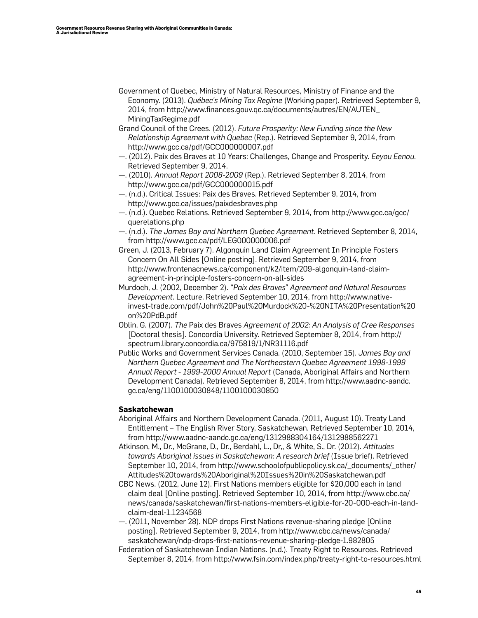- Government of Quebec, Ministry of Natural Resources, Ministry of Finance and the Economy. (2013). *Québec's Mining Tax Regime* (Working paper). Retrieved September 9, 2014, from http://www.finances.gouv.qc.ca/documents/autres/EN/AUTEN\_ MiningTaxRegime.pdf
- Grand Council of the Crees. (2012). *Future Prosperity: New Funding since the New Relationship Agreement with Quebec* (Rep.). Retrieved September 9, 2014, from http://www.gcc.ca/pdf/GCC000000007.pdf
- —. (2012). Paix des Braves at 10 Years: Challenges, Change and Prosperity. *Eeyou Eenou*. Retrieved September 9, 2014.
- —. (2010). *Annual Report 2008-2009* (Rep.). Retrieved September 8, 2014, from http://www.gcc.ca/pdf/GCC000000015.pdf
- —. (n.d.). Critical Issues: Paix des Braves. Retrieved September 9, 2014, from http://www.gcc.ca/issues/paixdesbraves.php
- —. (n.d.). Quebec Relations. Retrieved September 9, 2014, from http://www.gcc.ca/gcc/ querelations.php
- —. (n.d.). *The James Bay and Northern Quebec Agreement*. Retrieved September 8, 2014, from http://www.gcc.ca/pdf/LEG000000006.pdf
- Green, J. (2013, February 7). Algonquin Land Claim Agreement In Principle Fosters Concern On All Sides [Online posting]. Retrieved September 9, 2014, from http://www.frontenacnews.ca/component/k2/item/209-algonquin-land-claimagreement-in-principle-fosters-concern-on-all-sides
- Murdoch, J. (2002, December 2). *"Paix des Braves" Agreement and Natural Resources Development*. Lecture. Retrieved September 10, 2014, from http://www.nativeinvest-trade.com/pdf/John%20Paul%20Murdock%20-%20NITA%20Presentation%20 on%20PdB.pdf
- Oblin, G. (2007). *The* Paix des Braves *Agreement of 2002: An Analysis of Cree Responses* [Doctoral thesis]. Concordia University. Retrieved September 8, 2014, from http:// spectrum.library.concordia.ca/975819/1/NR31116.pdf
- Public Works and Government Services Canada. (2010, September 15). *James Bay and Northern Quebec Agreement and The Northeastern Quebec Agreement 1998-1999 Annual Report - 1999-2000 Annual Report* (Canada, Aboriginal Affairs and Northern Development Canada). Retrieved September 8, 2014, from http://www.aadnc-aandc. gc.ca/eng/1100100030848/1100100030850

## **Saskatchewan**

- Aboriginal Affairs and Northern Development Canada. (2011, August 10). Treaty Land Entitlement – The English River Story, Saskatchewan. Retrieved September 10, 2014, from http://www.aadnc-aandc.gc.ca/eng/1312988304164/1312988562271
- Atkinson, M., Dr., McGrane, D., Dr., Berdahl, L., Dr,, & White, S., Dr. (2012). *Attitudes towards Aboriginal issues in Saskatchewan: A research brief* (Issue brief). Retrieved September 10, 2014, from http://www.schoolofpublicpolicy.sk.ca/\_documents/\_other/ Attitudes%20towards%20Aboriginal%20Issues%20in%20Saskatchewan.pdf
- CBC News. (2012, June 12). First Nations members eligible for \$20,000 each in land claim deal [Online posting]. Retrieved September 10, 2014, from http://www.cbc.ca/ news/canada/saskatchewan/first-nations-members-eligible-for-20-000-each-in-landclaim-deal-1.1234568
- —. (2011, November 28). NDP drops First Nations revenue-sharing pledge [Online posting]. Retrieved September 9, 2014, from http://www.cbc.ca/news/canada/ saskatchewan/ndp-drops-first-nations-revenue-sharing-pledge-1.982805
- Federation of Saskatchewan Indian Nations. (n.d.). Treaty Right to Resources. Retrieved September 8, 2014, from http://www.fsin.com/index.php/treaty-right-to-resources.html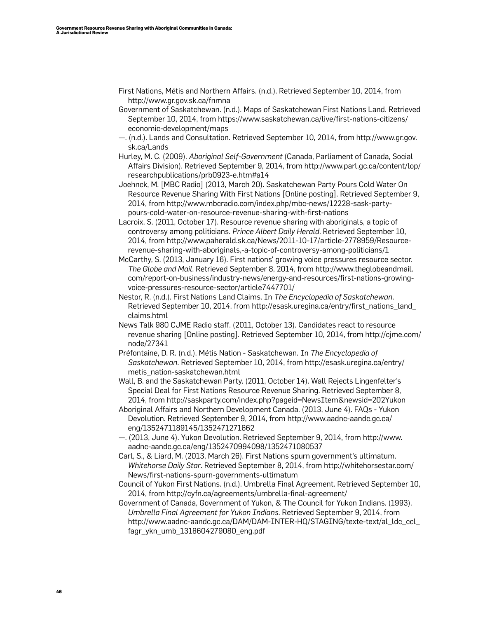- First Nations, Métis and Northern Affairs. (n.d.). Retrieved September 10, 2014, from http://www.gr.gov.sk.ca/fnmna
- Government of Saskatchewan. (n.d.). Maps of Saskatchewan First Nations Land. Retrieved September 10, 2014, from https://www.saskatchewan.ca/live/first-nations-citizens/ economic-development/maps
- —. (n.d.). Lands and Consultation. Retrieved September 10, 2014, from http://www.gr.gov. sk.ca/Lands
- Hurley, M. C. (2009). *Aboriginal Self-Government* (Canada, Parliament of Canada, Social Affairs Division). Retrieved September 9, 2014, from http://www.parl.gc.ca/content/lop/ researchpublications/prb0923-e.htm#a14
- Joehnck, M. [MBC Radio] (2013, March 20). Saskatchewan Party Pours Cold Water On Resource Revenue Sharing With First Nations [Online posting]. Retrieved September 9, 2014, from http://www.mbcradio.com/index.php/mbc-news/12228-sask-partypours-cold-water-on-resource-revenue-sharing-with-first-nations
- Lacroix, S. (2011, October 17). Resource revenue sharing with aboriginals, a topic of controversy among politicians. *Prince Albert Daily Herald*. Retrieved September 10, 2014, from http://www.paherald.sk.ca/News/2011-10-17/article-2778959/Resourcerevenue-sharing-with-aboriginals,-a-topic-of-controversy-among-politicians/1
- McCarthy, S. (2013, January 16). First nations' growing voice pressures resource sector. *The Globe and Mail*. Retrieved September 8, 2014, from http://www.theglobeandmail. com/report-on-business/industry-news/energy-and-resources/first-nations-growingvoice-pressures-resource-sector/article7447701/
- Nestor, R. (n.d.). First Nations Land Claims. In *The Encyclopedia of Saskatchewan*. Retrieved September 10, 2014, from http://esask.uregina.ca/entry/first\_nations\_land\_ claims.html
- News Talk 980 CJME Radio staff. (2011, October 13). Candidates react to resource revenue sharing [Online posting]. Retrieved September 10, 2014, from http://cjme.com/ node/27341
- Préfontaine, D. R. (n.d.). Métis Nation Saskatchewan. In *The Encyclopedia of Saskatchewan*. Retrieved September 10, 2014, from http://esask.uregina.ca/entry/ metis\_nation-saskatchewan.html
- Wall, B. and the Saskatchewan Party. (2011, October 14). Wall Rejects Lingenfelter's Special Deal for First Nations Resource Revenue Sharing. Retrieved September 8, 2014, from http://saskparty.com/index.php?pageid=NewsItem&newsid=202Yukon
- Aboriginal Affairs and Northern Development Canada. (2013, June 4). FAQs Yukon Devolution. Retrieved September 9, 2014, from http://www.aadnc-aandc.gc.ca/ eng/1352471189145/1352471271662
- —. (2013, June 4). Yukon Devolution. Retrieved September 9, 2014, from http://www. aadnc-aandc.gc.ca/eng/1352470994098/1352471080537
- Carl, S., & Liard, M. (2013, March 26). First Nations spurn government's ultimatum. *Whitehorse Daily Star*. Retrieved September 8, 2014, from http://whitehorsestar.com/ News/first-nations-spurn-governments-ultimatum
- Council of Yukon First Nations. (n.d.). Umbrella Final Agreement. Retrieved September 10, 2014, from http://cyfn.ca/agreements/umbrella-final-agreement/

Government of Canada, Government of Yukon, & The Council for Yukon Indians. (1993). *Umbrella Final Agreement for Yukon Indians*. Retrieved September 9, 2014, from http://www.aadnc-aandc.gc.ca/DAM/DAM-INTER-HQ/STAGING/texte-text/al\_ldc\_ccl\_ fagr\_ykn\_umb\_1318604279080\_eng.pdf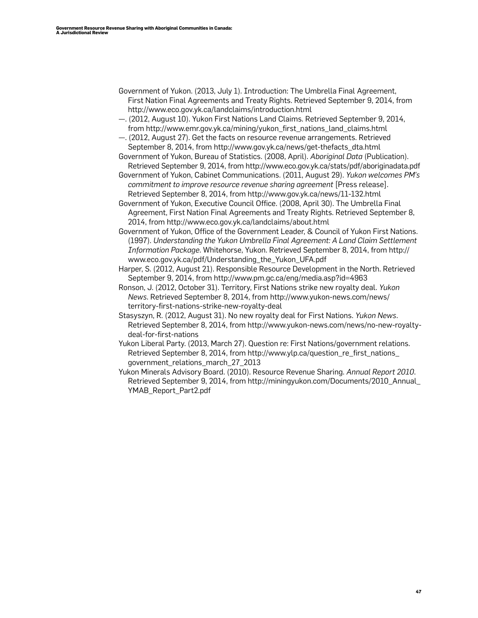- Government of Yukon. (2013, July 1). Introduction: The Umbrella Final Agreement, First Nation Final Agreements and Treaty Rights. Retrieved September 9, 2014, from http://www.eco.gov.yk.ca/landclaims/introduction.html
- —. (2012, August 10). Yukon First Nations Land Claims. Retrieved September 9, 2014, from http://www.emr.gov.yk.ca/mining/yukon\_first\_nations\_land\_claims.html
- —. (2012, August 27). Get the facts on resource revenue arrangements. Retrieved September 8, 2014, from http://www.gov.yk.ca/news/get-thefacts\_dta.html
- Government of Yukon, Bureau of Statistics. (2008, April). *Aboriginal Data* (Publication). Retrieved September 9, 2014, from http://www.eco.gov.yk.ca/stats/pdf/aboriginadata.pdf
- Government of Yukon, Cabinet Communications. (2011, August 29). *Yukon welcomes PM's commitment to improve resource revenue sharing agreement* [Press release]. Retrieved September 8, 2014, from http://www.gov.yk.ca/news/11-132.html
- Government of Yukon, Executive Council Office. (2008, April 30). The Umbrella Final Agreement, First Nation Final Agreements and Treaty Rights. Retrieved September 8, 2014, from http://www.eco.gov.yk.ca/landclaims/about.html
- Government of Yukon, Office of the Government Leader, & Council of Yukon First Nations. (1997). *Understanding the Yukon Umbrella Final Agreement: A Land Claim Settlement Information Package*. Whitehorse, Yukon. Retrieved September 8, 2014, from http:// www.eco.gov.yk.ca/pdf/Understanding\_the\_Yukon\_UFA.pdf
- Harper, S. (2012, August 21). Responsible Resource Development in the North. Retrieved September 9, 2014, from http://www.pm.gc.ca/eng/media.asp?id=4963
- Ronson, J. (2012, October 31). Territory, First Nations strike new royalty deal. *Yukon News*. Retrieved September 8, 2014, from http://www.yukon-news.com/news/ territory-first-nations-strike-new-royalty-deal
- Stasyszyn, R. (2012, August 31). No new royalty deal for First Nations. *Yukon News*. Retrieved September 8, 2014, from http://www.yukon-news.com/news/no-new-royaltydeal-for-first-nations
- Yukon Liberal Party. (2013, March 27). Question re: First Nations/government relations. Retrieved September 8, 2014, from http://www.ylp.ca/question\_re\_first\_nations\_ government\_relations\_march\_27\_2013
- Yukon Minerals Advisory Board. (2010). Resource Revenue Sharing. *Annual Report 2010*. Retrieved September 9, 2014, from http://miningyukon.com/Documents/2010\_Annual\_ YMAB\_Report\_Part2.pdf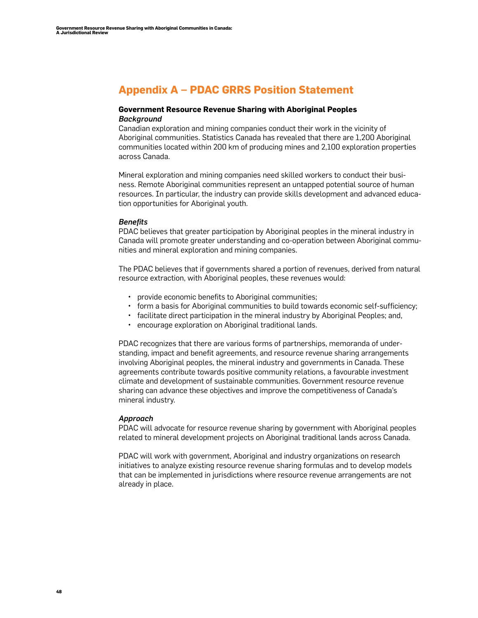# **Appendix A – PDAC GRRS Position Statement**

## **Government Resource Revenue Sharing with Aboriginal Peoples** *Background*

Canadian exploration and mining companies conduct their work in the vicinity of Aboriginal communities. Statistics Canada has revealed that there are 1,200 Aboriginal communities located within 200 km of producing mines and 2,100 exploration properties across Canada.

Mineral exploration and mining companies need skilled workers to conduct their business. Remote Aboriginal communities represent an untapped potential source of human resources. In particular, the industry can provide skills development and advanced education opportunities for Aboriginal youth.

#### *Benefits*

PDAC believes that greater participation by Aboriginal peoples in the mineral industry in Canada will promote greater understanding and co-operation between Aboriginal communities and mineral exploration and mining companies.

The PDAC believes that if governments shared a portion of revenues, derived from natural resource extraction, with Aboriginal peoples, these revenues would:

- provide economic benefits to Aboriginal communities;
- form a basis for Aboriginal communities to build towards economic self-sufficiency;
- facilitate direct participation in the mineral industry by Aboriginal Peoples; and,
- encourage exploration on Aboriginal traditional lands.

PDAC recognizes that there are various forms of partnerships, memoranda of understanding, impact and benefit agreements, and resource revenue sharing arrangements involving Aboriginal peoples, the mineral industry and governments in Canada. These agreements contribute towards positive community relations, a favourable investment climate and development of sustainable communities. Government resource revenue sharing can advance these objectives and improve the competitiveness of Canada's mineral industry.

## *Approach*

PDAC will advocate for resource revenue sharing by government with Aboriginal peoples related to mineral development projects on Aboriginal traditional lands across Canada.

PDAC will work with government, Aboriginal and industry organizations on research initiatives to analyze existing resource revenue sharing formulas and to develop models that can be implemented in jurisdictions where resource revenue arrangements are not already in place.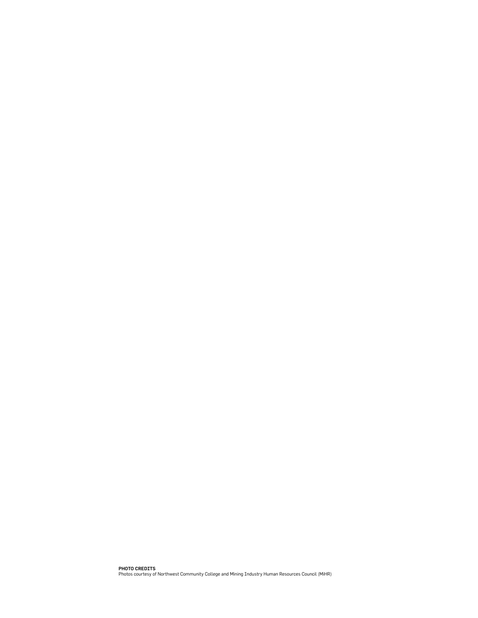**PHOTO CREDITS**<br>Photos courtesy of Northwest Community College and Mining Industry Human Resources Council (MiHR)